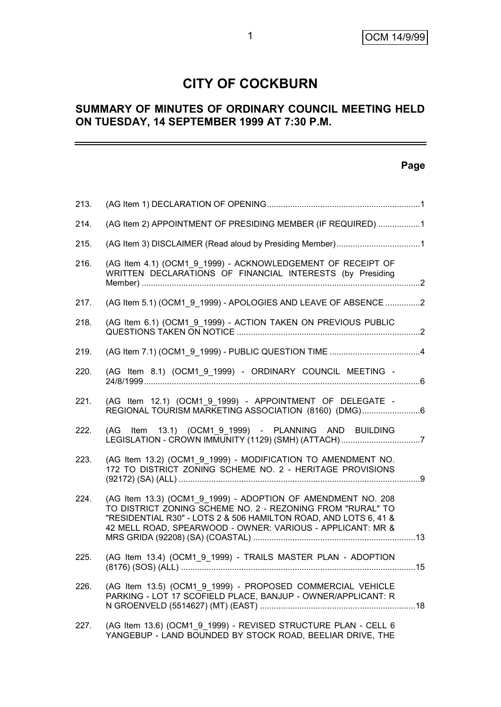# **CITY OF COCKBURN**

# **SUMMARY OF MINUTES OF ORDINARY COUNCIL MEETING HELD ON TUESDAY, 14 SEPTEMBER 1999 AT 7:30 P.M.**

#### **Page**

| 213. |                                                                                                                                                                                                                                                              |  |
|------|--------------------------------------------------------------------------------------------------------------------------------------------------------------------------------------------------------------------------------------------------------------|--|
| 214. | (AG Item 2) APPOINTMENT OF PRESIDING MEMBER (IF REQUIRED) 1                                                                                                                                                                                                  |  |
| 215. |                                                                                                                                                                                                                                                              |  |
| 216. | (AG Item 4.1) (OCM1_9_1999) - ACKNOWLEDGEMENT OF RECEIPT OF<br>WRITTEN DECLARATIONS OF FINANCIAL INTERESTS (by Presiding                                                                                                                                     |  |
| 217. | (AG Item 5.1) (OCM1 9 1999) - APOLOGIES AND LEAVE OF ABSENCE 2                                                                                                                                                                                               |  |
| 218. | (AG Item 6.1) (OCM1_9_1999) - ACTION TAKEN ON PREVIOUS PUBLIC                                                                                                                                                                                                |  |
| 219. |                                                                                                                                                                                                                                                              |  |
| 220. | (AG Item 8.1) (OCM1_9_1999) - ORDINARY COUNCIL MEETING -                                                                                                                                                                                                     |  |
| 221. | (AG Item 12.1) (OCM1 9 1999) - APPOINTMENT OF DELEGATE -<br>REGIONAL TOURISM MARKETING ASSOCIATION (8160) (DMG)6                                                                                                                                             |  |
| 222. | (AG Item 13.1) (OCM1 9 1999) - PLANNING AND BUILDING<br>LEGISLATION - CROWN IMMUNITY (1129) (SMH) (ATTACH) 7                                                                                                                                                 |  |
| 223. | (AG Item 13.2) (OCM1 9 1999) - MODIFICATION TO AMENDMENT NO.<br>172 TO DISTRICT ZONING SCHEME NO. 2 - HERITAGE PROVISIONS                                                                                                                                    |  |
| 224. | (AG Item 13.3) (OCM1 9 1999) - ADOPTION OF AMENDMENT NO. 208<br>TO DISTRICT ZONING SCHEME NO. 2 - REZONING FROM "RURAL" TO<br>"RESIDENTIAL R30" - LOTS 2 & 506 HAMILTON ROAD, AND LOTS 6, 41 &<br>42 MELL ROAD, SPEARWOOD - OWNER: VARIOUS - APPLICANT: MR & |  |
| 225. | (AG Item 13.4) (OCM1_9_1999) - TRAILS MASTER PLAN - ADOPTION                                                                                                                                                                                                 |  |
| 226. | (AG Item 13.5) (OCM1 9 1999) - PROPOSED COMMERCIAL VEHICLE<br>PARKING - LOT 17 SCOFIELD PLACE, BANJUP - OWNER/APPLICANT: R                                                                                                                                   |  |
| 227. | (AG Item 13.6) (OCM1 9 1999) - REVISED STRUCTURE PLAN - CELL 6<br>YANGEBUP - LAND BOUNDED BY STOCK ROAD, BEELIAR DRIVE, THE                                                                                                                                  |  |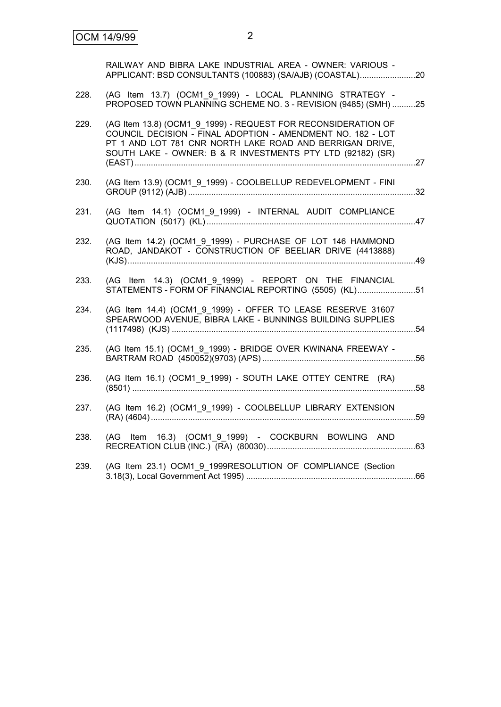|      | RAILWAY AND BIBRA LAKE INDUSTRIAL AREA - OWNER: VARIOUS -<br>APPLICANT: BSD CONSULTANTS (100883) (SA/AJB) (COASTAL)20                                                                                                                                  |  |
|------|--------------------------------------------------------------------------------------------------------------------------------------------------------------------------------------------------------------------------------------------------------|--|
| 228. | (AG Item 13.7) (OCM1 9 1999) - LOCAL PLANNING STRATEGY -<br>PROPOSED TOWN PLANNING SCHEME NO. 3 - REVISION (9485) (SMH) 25                                                                                                                             |  |
| 229. | (AG Item 13.8) (OCM1_9_1999) - REQUEST FOR RECONSIDERATION OF<br>COUNCIL DECISION - FINAL ADOPTION - AMENDMENT NO. 182 - LOT<br>PT 1 AND LOT 781 CNR NORTH LAKE ROAD AND BERRIGAN DRIVE,<br>SOUTH LAKE - OWNER: B & R INVESTMENTS PTY LTD (92182) (SR) |  |
| 230. | (AG Item 13.9) (OCM1_9_1999) - COOLBELLUP REDEVELOPMENT - FINI                                                                                                                                                                                         |  |
| 231. | (AG Item 14.1) (OCM1_9_1999) - INTERNAL AUDIT COMPLIANCE                                                                                                                                                                                               |  |
| 232. | (AG Item 14.2) (OCM1 9 1999) - PURCHASE OF LOT 146 HAMMOND<br>ROAD, JANDAKOT - CONSTRUCTION OF BEELIAR DRIVE (4413888)                                                                                                                                 |  |
| 233. | (AG Item 14.3) (OCM1 9 1999) - REPORT ON THE FINANCIAL<br>STATEMENTS - FORM OF FINANCIAL REPORTING (5505) (KL)51                                                                                                                                       |  |
| 234. | (AG Item 14.4) (OCM1 9 1999) - OFFER TO LEASE RESERVE 31607<br>SPEARWOOD AVENUE, BIBRA LAKE - BUNNINGS BUILDING SUPPLIES                                                                                                                               |  |
| 235. | (AG Item 15.1) (OCM1_9_1999) - BRIDGE OVER KWINANA FREEWAY -                                                                                                                                                                                           |  |
| 236. | (AG Item 16.1) (OCM1 9 1999) - SOUTH LAKE OTTEY CENTRE (RA)                                                                                                                                                                                            |  |
| 237. | (AG Item 16.2) (OCM1_9_1999) - COOLBELLUP LIBRARY EXTENSION                                                                                                                                                                                            |  |
| 238. | (AG Item 16.3) (OCM1 9 1999) - COCKBURN BOWLING AND                                                                                                                                                                                                    |  |
| 239. | (AG Item 23.1) OCM1_9_1999RESOLUTION OF COMPLIANCE (Section                                                                                                                                                                                            |  |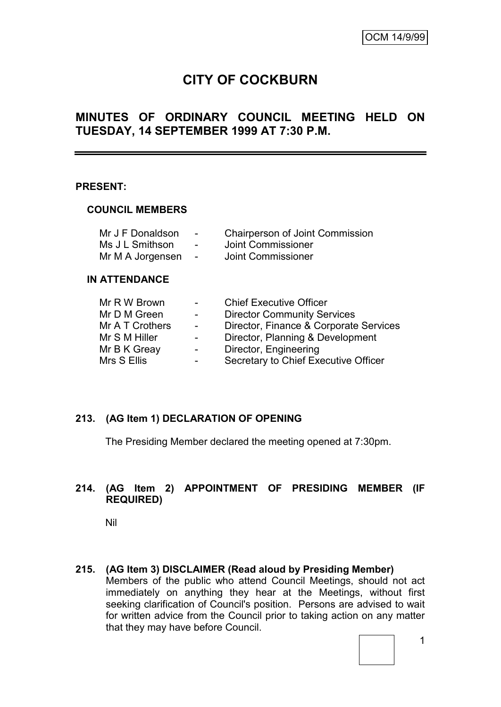# **CITY OF COCKBURN**

# **MINUTES OF ORDINARY COUNCIL MEETING HELD ON TUESDAY, 14 SEPTEMBER 1999 AT 7:30 P.M.**

#### **PRESENT:**

#### **COUNCIL MEMBERS**

| Mr J F Donaldson | $\overline{\phantom{0}}$ | <b>Chairperson of Joint Commission</b> |
|------------------|--------------------------|----------------------------------------|
| Ms J L Smithson  | $\overline{\phantom{0}}$ | Joint Commissioner                     |
| Mr M A Jorgensen | $\sim$                   | Joint Commissioner                     |

#### **IN ATTENDANCE**

| Mr R W Brown    | $\overline{\phantom{0}}$ | <b>Chief Executive Officer</b>         |
|-----------------|--------------------------|----------------------------------------|
| Mr D M Green    | $\overline{\phantom{0}}$ | <b>Director Community Services</b>     |
| Mr A T Crothers | $\sim$                   | Director, Finance & Corporate Services |
| Mr S M Hiller   |                          | Director, Planning & Development       |
| Mr B K Greay    | $\blacksquare$           | Director, Engineering                  |
| Mrs S Ellis     | $\blacksquare$           | Secretary to Chief Executive Officer   |

### **213. (AG Item 1) DECLARATION OF OPENING**

The Presiding Member declared the meeting opened at 7:30pm.

### **214. (AG Item 2) APPOINTMENT OF PRESIDING MEMBER (IF REQUIRED)**

Nil

**215. (AG Item 3) DISCLAIMER (Read aloud by Presiding Member)** Members of the public who attend Council Meetings, should not act immediately on anything they hear at the Meetings, without first seeking clarification of Council's position. Persons are advised to wait for written advice from the Council prior to taking action on any matter that they may have before Council.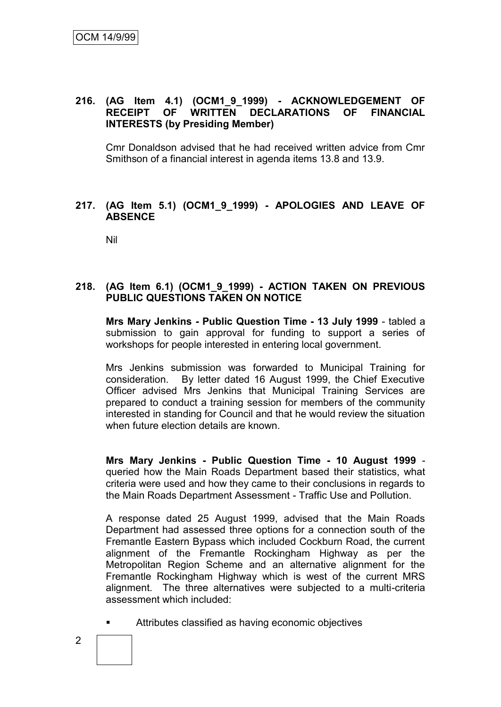## **216. (AG Item 4.1) (OCM1\_9\_1999) - ACKNOWLEDGEMENT OF RECEIPT OF WRITTEN DECLARATIONS OF FINANCIAL INTERESTS (by Presiding Member)**

Cmr Donaldson advised that he had received written advice from Cmr Smithson of a financial interest in agenda items 13.8 and 13.9.

#### **217. (AG Item 5.1) (OCM1\_9\_1999) - APOLOGIES AND LEAVE OF ABSENCE**

Nil

#### **218. (AG Item 6.1) (OCM1\_9\_1999) - ACTION TAKEN ON PREVIOUS PUBLIC QUESTIONS TAKEN ON NOTICE**

**Mrs Mary Jenkins - Public Question Time - 13 July 1999** - tabled a submission to gain approval for funding to support a series of workshops for people interested in entering local government.

Mrs Jenkins submission was forwarded to Municipal Training for consideration. By letter dated 16 August 1999, the Chief Executive Officer advised Mrs Jenkins that Municipal Training Services are prepared to conduct a training session for members of the community interested in standing for Council and that he would review the situation when future election details are known.

**Mrs Mary Jenkins - Public Question Time - 10 August 1999** queried how the Main Roads Department based their statistics, what criteria were used and how they came to their conclusions in regards to the Main Roads Department Assessment - Traffic Use and Pollution.

A response dated 25 August 1999, advised that the Main Roads Department had assessed three options for a connection south of the Fremantle Eastern Bypass which included Cockburn Road, the current alignment of the Fremantle Rockingham Highway as per the Metropolitan Region Scheme and an alternative alignment for the Fremantle Rockingham Highway which is west of the current MRS alignment. The three alternatives were subjected to a multi-criteria assessment which included:

Attributes classified as having economic objectives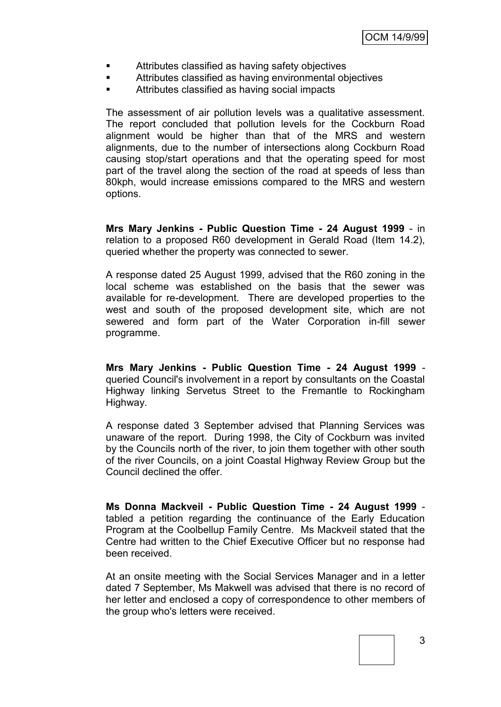- Attributes classified as having safety objectives
- Attributes classified as having environmental objectives
- Attributes classified as having social impacts

The assessment of air pollution levels was a qualitative assessment. The report concluded that pollution levels for the Cockburn Road alignment would be higher than that of the MRS and western alignments, due to the number of intersections along Cockburn Road causing stop/start operations and that the operating speed for most part of the travel along the section of the road at speeds of less than 80kph, would increase emissions compared to the MRS and western options.

**Mrs Mary Jenkins - Public Question Time - 24 August 1999** - in relation to a proposed R60 development in Gerald Road (Item 14.2), queried whether the property was connected to sewer.

A response dated 25 August 1999, advised that the R60 zoning in the local scheme was established on the basis that the sewer was available for re-development. There are developed properties to the west and south of the proposed development site, which are not sewered and form part of the Water Corporation in-fill sewer programme.

**Mrs Mary Jenkins - Public Question Time - 24 August 1999** queried Council's involvement in a report by consultants on the Coastal Highway linking Servetus Street to the Fremantle to Rockingham Highway.

A response dated 3 September advised that Planning Services was unaware of the report. During 1998, the City of Cockburn was invited by the Councils north of the river, to join them together with other south of the river Councils, on a joint Coastal Highway Review Group but the Council declined the offer.

**Ms Donna Mackveil - Public Question Time - 24 August 1999** tabled a petition regarding the continuance of the Early Education Program at the Coolbellup Family Centre. Ms Mackveil stated that the Centre had written to the Chief Executive Officer but no response had been received.

At an onsite meeting with the Social Services Manager and in a letter dated 7 September, Ms Makwell was advised that there is no record of her letter and enclosed a copy of correspondence to other members of the group who's letters were received.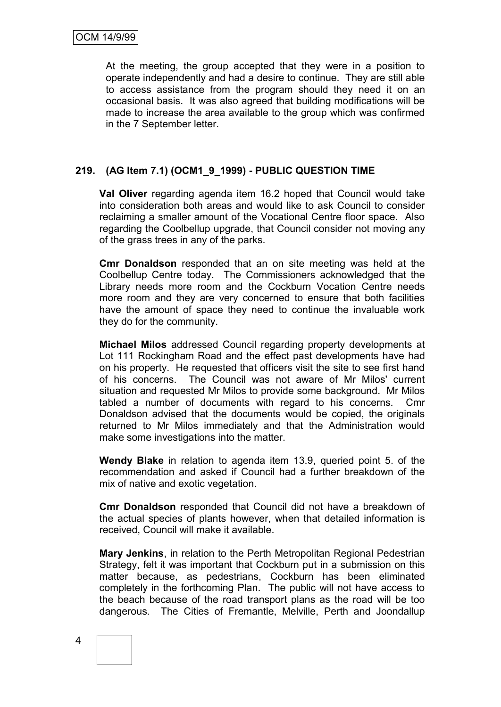At the meeting, the group accepted that they were in a position to operate independently and had a desire to continue. They are still able to access assistance from the program should they need it on an occasional basis. It was also agreed that building modifications will be made to increase the area available to the group which was confirmed in the 7 September letter.

## **219. (AG Item 7.1) (OCM1\_9\_1999) - PUBLIC QUESTION TIME**

**Val Oliver** regarding agenda item 16.2 hoped that Council would take into consideration both areas and would like to ask Council to consider reclaiming a smaller amount of the Vocational Centre floor space. Also regarding the Coolbellup upgrade, that Council consider not moving any of the grass trees in any of the parks.

**Cmr Donaldson** responded that an on site meeting was held at the Coolbellup Centre today. The Commissioners acknowledged that the Library needs more room and the Cockburn Vocation Centre needs more room and they are very concerned to ensure that both facilities have the amount of space they need to continue the invaluable work they do for the community.

**Michael Milos** addressed Council regarding property developments at Lot 111 Rockingham Road and the effect past developments have had on his property. He requested that officers visit the site to see first hand of his concerns. The Council was not aware of Mr Milos' current situation and requested Mr Milos to provide some background. Mr Milos tabled a number of documents with regard to his concerns. Cmr Donaldson advised that the documents would be copied, the originals returned to Mr Milos immediately and that the Administration would make some investigations into the matter.

**Wendy Blake** in relation to agenda item 13.9, queried point 5. of the recommendation and asked if Council had a further breakdown of the mix of native and exotic vegetation.

**Cmr Donaldson** responded that Council did not have a breakdown of the actual species of plants however, when that detailed information is received, Council will make it available.

**Mary Jenkins**, in relation to the Perth Metropolitan Regional Pedestrian Strategy, felt it was important that Cockburn put in a submission on this matter because, as pedestrians, Cockburn has been eliminated completely in the forthcoming Plan. The public will not have access to the beach because of the road transport plans as the road will be too dangerous. The Cities of Fremantle, Melville, Perth and Joondallup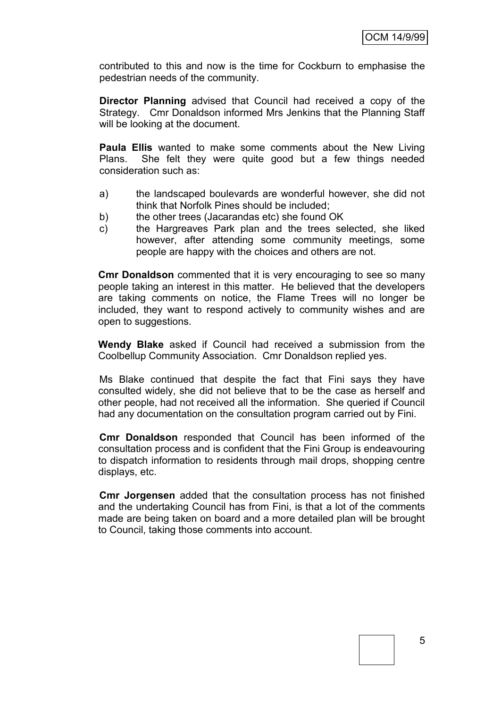contributed to this and now is the time for Cockburn to emphasise the pedestrian needs of the community.

**Director Planning** advised that Council had received a copy of the Strategy. Cmr Donaldson informed Mrs Jenkins that the Planning Staff will be looking at the document.

**Paula Ellis** wanted to make some comments about the New Living Plans. She felt they were quite good but a few things needed consideration such as:

- a) the landscaped boulevards are wonderful however, she did not think that Norfolk Pines should be included;
- b) the other trees (Jacarandas etc) she found OK
- c) the Hargreaves Park plan and the trees selected, she liked however, after attending some community meetings, some people are happy with the choices and others are not.

**Cmr Donaldson** commented that it is very encouraging to see so many people taking an interest in this matter. He believed that the developers are taking comments on notice, the Flame Trees will no longer be included, they want to respond actively to community wishes and are open to suggestions.

**Wendy Blake** asked if Council had received a submission from the Coolbellup Community Association. Cmr Donaldson replied yes.

Ms Blake continued that despite the fact that Fini says they have consulted widely, she did not believe that to be the case as herself and other people, had not received all the information. She queried if Council had any documentation on the consultation program carried out by Fini.

**Cmr Donaldson** responded that Council has been informed of the consultation process and is confident that the Fini Group is endeavouring to dispatch information to residents through mail drops, shopping centre displays, etc.

**Cmr Jorgensen** added that the consultation process has not finished and the undertaking Council has from Fini, is that a lot of the comments made are being taken on board and a more detailed plan will be brought to Council, taking those comments into account.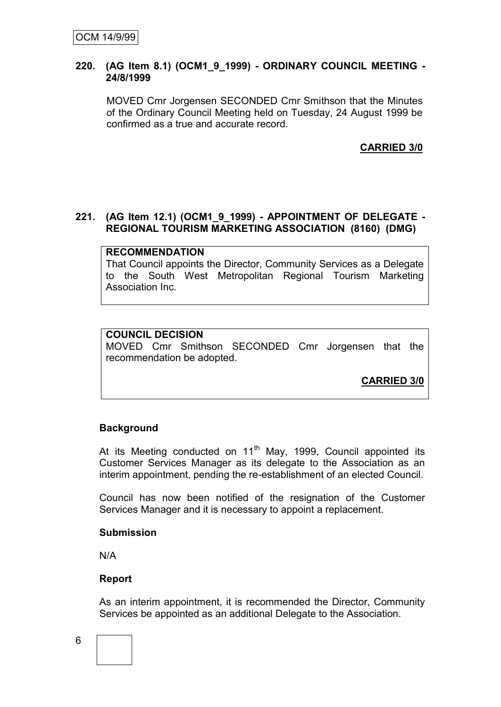#### **220. (AG Item 8.1) (OCM1\_9\_1999) - ORDINARY COUNCIL MEETING - 24/8/1999**

MOVED Cmr Jorgensen SECONDED Cmr Smithson that the Minutes of the Ordinary Council Meeting held on Tuesday, 24 August 1999 be confirmed as a true and accurate record.

## **CARRIED 3/0**

#### **221. (AG Item 12.1) (OCM1\_9\_1999) - APPOINTMENT OF DELEGATE - REGIONAL TOURISM MARKETING ASSOCIATION (8160) (DMG)**

#### **RECOMMENDATION**

That Council appoints the Director, Community Services as a Delegate to the South West Metropolitan Regional Tourism Marketing Association Inc.

#### **COUNCIL DECISION**

MOVED Cmr Smithson SECONDED Cmr Jorgensen that the recommendation be adopted.

**CARRIED 3/0**

#### **Background**

At its Meeting conducted on 11<sup>th</sup> May, 1999, Council appointed its Customer Services Manager as its delegate to the Association as an interim appointment, pending the re-establishment of an elected Council.

Council has now been notified of the resignation of the Customer Services Manager and it is necessary to appoint a replacement.

#### **Submission**

N/A

#### **Report**

As an interim appointment, it is recommended the Director, Community Services be appointed as an additional Delegate to the Association.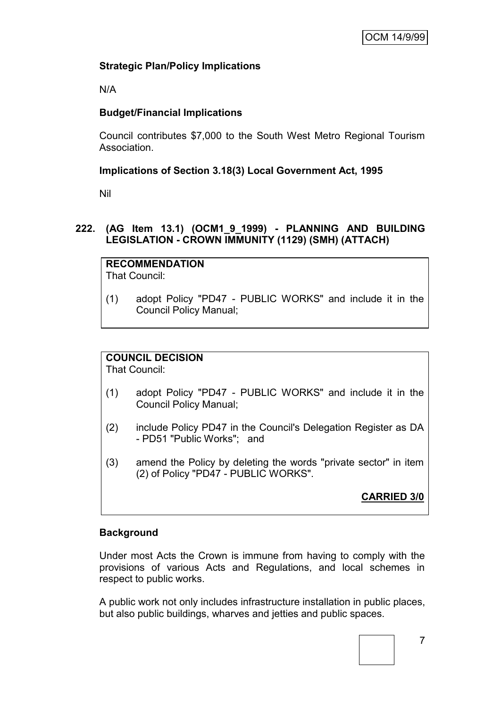# **Strategic Plan/Policy Implications**

N/A

# **Budget/Financial Implications**

Council contributes \$7,000 to the South West Metro Regional Tourism Association.

## **Implications of Section 3.18(3) Local Government Act, 1995**

Nil

## **222. (AG Item 13.1) (OCM1\_9\_1999) - PLANNING AND BUILDING LEGISLATION - CROWN IMMUNITY (1129) (SMH) (ATTACH)**

**RECOMMENDATION** That Council:

(1) adopt Policy "PD47 - PUBLIC WORKS" and include it in the Council Policy Manual;

# **COUNCIL DECISION**

That Council:

- (1) adopt Policy "PD47 PUBLIC WORKS" and include it in the Council Policy Manual;
- (2) include Policy PD47 in the Council's Delegation Register as DA - PD51 "Public Works"; and
- (3) amend the Policy by deleting the words "private sector" in item (2) of Policy "PD47 - PUBLIC WORKS".

**CARRIED 3/0**

# **Background**

Under most Acts the Crown is immune from having to comply with the provisions of various Acts and Regulations, and local schemes in respect to public works.

A public work not only includes infrastructure installation in public places, but also public buildings, wharves and jetties and public spaces.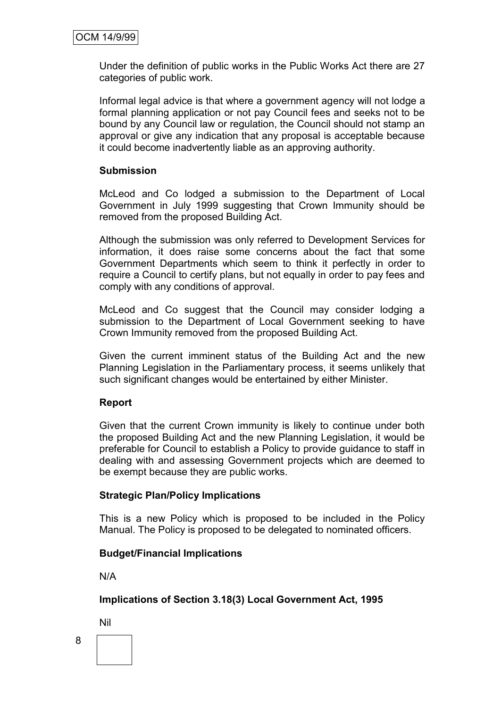Under the definition of public works in the Public Works Act there are 27 categories of public work.

Informal legal advice is that where a government agency will not lodge a formal planning application or not pay Council fees and seeks not to be bound by any Council law or regulation, the Council should not stamp an approval or give any indication that any proposal is acceptable because it could become inadvertently liable as an approving authority.

## **Submission**

McLeod and Co lodged a submission to the Department of Local Government in July 1999 suggesting that Crown Immunity should be removed from the proposed Building Act.

Although the submission was only referred to Development Services for information, it does raise some concerns about the fact that some Government Departments which seem to think it perfectly in order to require a Council to certify plans, but not equally in order to pay fees and comply with any conditions of approval.

McLeod and Co suggest that the Council may consider lodging a submission to the Department of Local Government seeking to have Crown Immunity removed from the proposed Building Act.

Given the current imminent status of the Building Act and the new Planning Legislation in the Parliamentary process, it seems unlikely that such significant changes would be entertained by either Minister.

### **Report**

Given that the current Crown immunity is likely to continue under both the proposed Building Act and the new Planning Legislation, it would be preferable for Council to establish a Policy to provide guidance to staff in dealing with and assessing Government projects which are deemed to be exempt because they are public works.

### **Strategic Plan/Policy Implications**

This is a new Policy which is proposed to be included in the Policy Manual. The Policy is proposed to be delegated to nominated officers.

### **Budget/Financial Implications**

N/A

**Implications of Section 3.18(3) Local Government Act, 1995**

Nil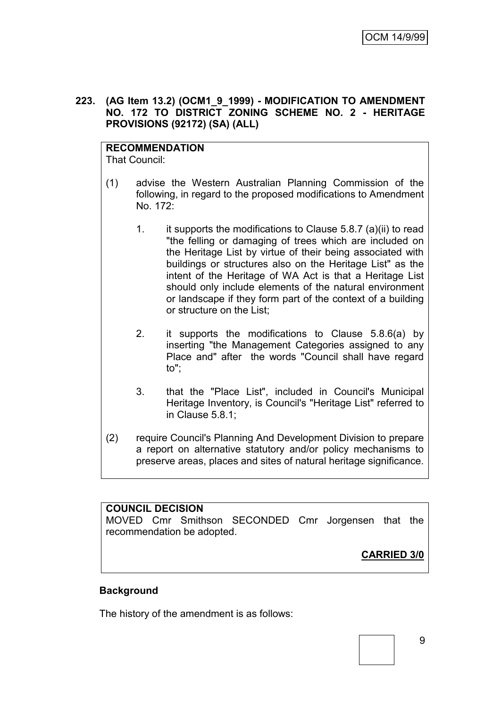### **223. (AG Item 13.2) (OCM1\_9\_1999) - MODIFICATION TO AMENDMENT NO. 172 TO DISTRICT ZONING SCHEME NO. 2 - HERITAGE PROVISIONS (92172) (SA) (ALL)**

**RECOMMENDATION** That Council:

- (1) advise the Western Australian Planning Commission of the following, in regard to the proposed modifications to Amendment No. 172:
	- 1. it supports the modifications to Clause 5.8.7 (a)(ii) to read "the felling or damaging of trees which are included on the Heritage List by virtue of their being associated with buildings or structures also on the Heritage List" as the intent of the Heritage of WA Act is that a Heritage List should only include elements of the natural environment or landscape if they form part of the context of a building or structure on the List;
	- 2. it supports the modifications to Clause 5.8.6(a) by inserting "the Management Categories assigned to any Place and" after the words "Council shall have regard to";
	- 3. that the "Place List", included in Council's Municipal Heritage Inventory, is Council's "Heritage List" referred to in Clause 5.8.1;
- (2) require Council's Planning And Development Division to prepare a report on alternative statutory and/or policy mechanisms to preserve areas, places and sites of natural heritage significance.

### **COUNCIL DECISION**

MOVED Cmr Smithson SECONDED Cmr Jorgensen that the recommendation be adopted.

**CARRIED 3/0**

### **Background**

The history of the amendment is as follows: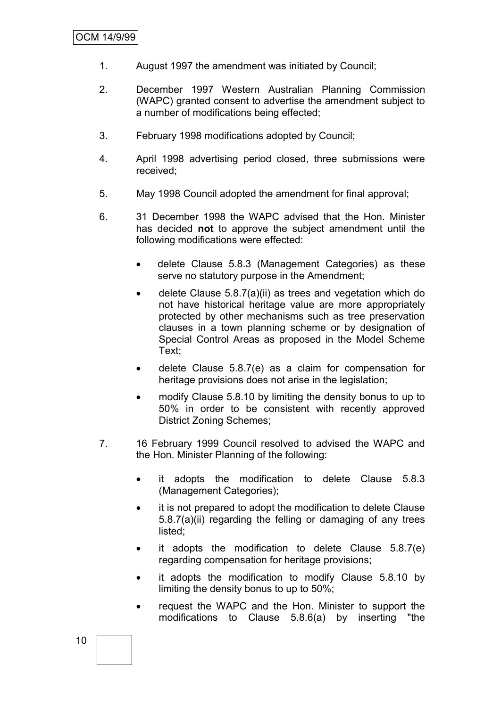- 1. August 1997 the amendment was initiated by Council;
- 2. December 1997 Western Australian Planning Commission (WAPC) granted consent to advertise the amendment subject to a number of modifications being effected;
- 3. February 1998 modifications adopted by Council;
- 4. April 1998 advertising period closed, three submissions were received;
- 5. May 1998 Council adopted the amendment for final approval;
- 6. 31 December 1998 the WAPC advised that the Hon. Minister has decided **not** to approve the subject amendment until the following modifications were effected:
	- delete Clause 5.8.3 (Management Categories) as these serve no statutory purpose in the Amendment;
	- delete Clause 5.8.7(a)(ii) as trees and vegetation which do not have historical heritage value are more appropriately protected by other mechanisms such as tree preservation clauses in a town planning scheme or by designation of Special Control Areas as proposed in the Model Scheme Text;
	- delete Clause 5.8.7(e) as a claim for compensation for heritage provisions does not arise in the legislation;
	- modify Clause 5.8.10 by limiting the density bonus to up to 50% in order to be consistent with recently approved District Zoning Schemes;
- 7. 16 February 1999 Council resolved to advised the WAPC and the Hon. Minister Planning of the following:
	- it adopts the modification to delete Clause 5.8.3 (Management Categories);
	- it is not prepared to adopt the modification to delete Clause 5.8.7(a)(ii) regarding the felling or damaging of any trees listed;
	- it adopts the modification to delete Clause 5.8.7(e) regarding compensation for heritage provisions;
	- it adopts the modification to modify Clause 5.8.10 by limiting the density bonus to up to 50%;
	- request the WAPC and the Hon. Minister to support the modifications to Clause 5.8.6(a) by inserting "the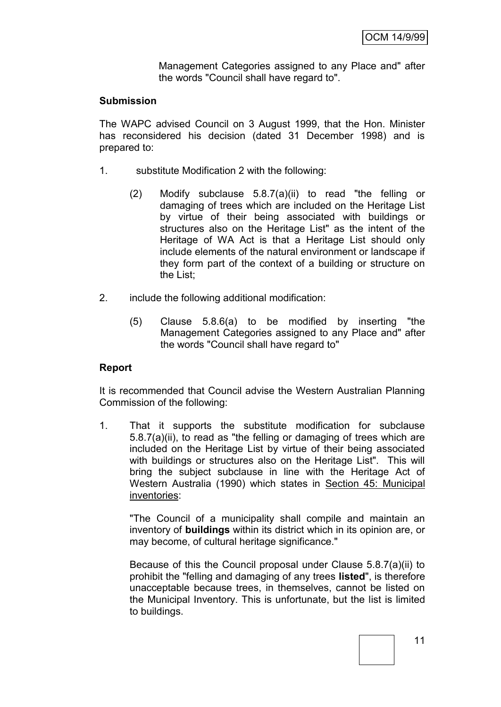Management Categories assigned to any Place and" after the words "Council shall have regard to".

### **Submission**

The WAPC advised Council on 3 August 1999, that the Hon. Minister has reconsidered his decision (dated 31 December 1998) and is prepared to:

- 1. substitute Modification 2 with the following:
	- (2) Modify subclause 5.8.7(a)(ii) to read "the felling or damaging of trees which are included on the Heritage List by virtue of their being associated with buildings or structures also on the Heritage List" as the intent of the Heritage of WA Act is that a Heritage List should only include elements of the natural environment or landscape if they form part of the context of a building or structure on the List;
- 2. include the following additional modification:
	- (5) Clause 5.8.6(a) to be modified by inserting "the Management Categories assigned to any Place and" after the words "Council shall have regard to"

### **Report**

It is recommended that Council advise the Western Australian Planning Commission of the following:

1. That it supports the substitute modification for subclause 5.8.7(a)(ii), to read as "the felling or damaging of trees which are included on the Heritage List by virtue of their being associated with buildings or structures also on the Heritage List". This will bring the subject subclause in line with the Heritage Act of Western Australia (1990) which states in Section 45: Municipal inventories:

"The Council of a municipality shall compile and maintain an inventory of **buildings** within its district which in its opinion are, or may become, of cultural heritage significance."

Because of this the Council proposal under Clause 5.8.7(a)(ii) to prohibit the "felling and damaging of any trees **listed**", is therefore unacceptable because trees, in themselves, cannot be listed on the Municipal Inventory. This is unfortunate, but the list is limited to buildings.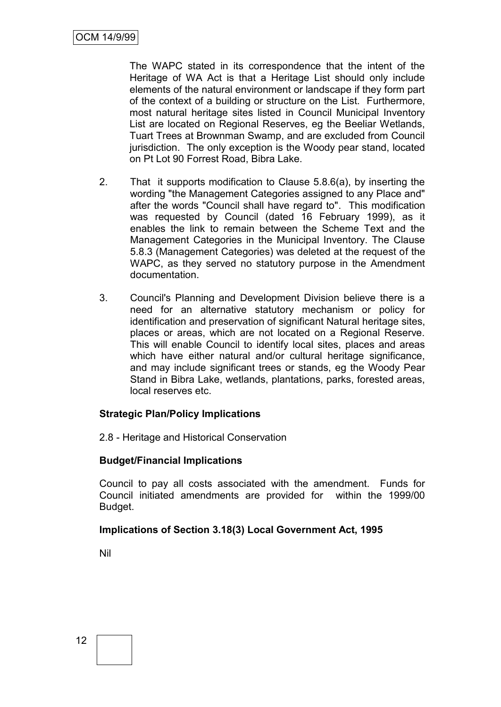The WAPC stated in its correspondence that the intent of the Heritage of WA Act is that a Heritage List should only include elements of the natural environment or landscape if they form part of the context of a building or structure on the List. Furthermore, most natural heritage sites listed in Council Municipal Inventory List are located on Regional Reserves, eg the Beeliar Wetlands, Tuart Trees at Brownman Swamp, and are excluded from Council jurisdiction. The only exception is the Woody pear stand, located on Pt Lot 90 Forrest Road, Bibra Lake.

- 2. That it supports modification to Clause 5.8.6(a), by inserting the wording "the Management Categories assigned to any Place and" after the words "Council shall have regard to". This modification was requested by Council (dated 16 February 1999), as it enables the link to remain between the Scheme Text and the Management Categories in the Municipal Inventory. The Clause 5.8.3 (Management Categories) was deleted at the request of the WAPC, as they served no statutory purpose in the Amendment documentation.
- 3. Council's Planning and Development Division believe there is a need for an alternative statutory mechanism or policy for identification and preservation of significant Natural heritage sites, places or areas, which are not located on a Regional Reserve. This will enable Council to identify local sites, places and areas which have either natural and/or cultural heritage significance, and may include significant trees or stands, eg the Woody Pear Stand in Bibra Lake, wetlands, plantations, parks, forested areas, local reserves etc.

### **Strategic Plan/Policy Implications**

2.8 - Heritage and Historical Conservation

### **Budget/Financial Implications**

Council to pay all costs associated with the amendment. Funds for Council initiated amendments are provided for within the 1999/00 Budget.

### **Implications of Section 3.18(3) Local Government Act, 1995**

Nil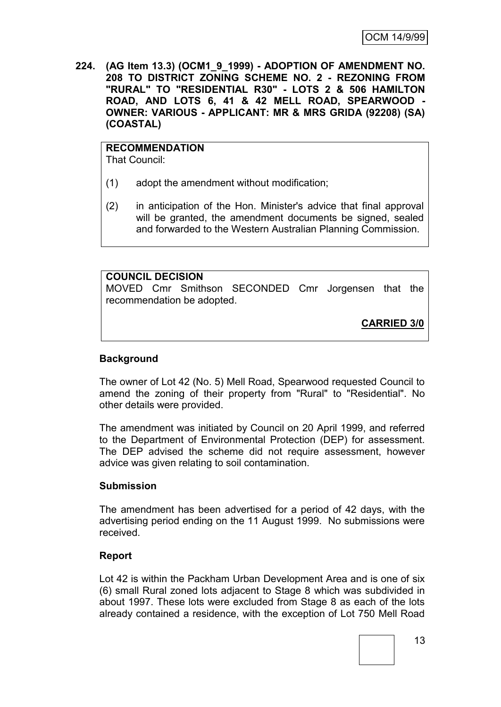**224. (AG Item 13.3) (OCM1\_9\_1999) - ADOPTION OF AMENDMENT NO. 208 TO DISTRICT ZONING SCHEME NO. 2 - REZONING FROM "RURAL" TO "RESIDENTIAL R30" - LOTS 2 & 506 HAMILTON ROAD, AND LOTS 6, 41 & 42 MELL ROAD, SPEARWOOD - OWNER: VARIOUS - APPLICANT: MR & MRS GRIDA (92208) (SA) (COASTAL)**

#### **RECOMMENDATION** That Council:

- (1) adopt the amendment without modification;
- (2) in anticipation of the Hon. Minister's advice that final approval will be granted, the amendment documents be signed, sealed and forwarded to the Western Australian Planning Commission.

**COUNCIL DECISION** MOVED Cmr Smithson SECONDED Cmr Jorgensen that the recommendation be adopted.

**CARRIED 3/0**

## **Background**

The owner of Lot 42 (No. 5) Mell Road, Spearwood requested Council to amend the zoning of their property from "Rural" to "Residential". No other details were provided.

The amendment was initiated by Council on 20 April 1999, and referred to the Department of Environmental Protection (DEP) for assessment. The DEP advised the scheme did not require assessment, however advice was given relating to soil contamination.

### **Submission**

The amendment has been advertised for a period of 42 days, with the advertising period ending on the 11 August 1999. No submissions were received.

### **Report**

Lot 42 is within the Packham Urban Development Area and is one of six (6) small Rural zoned lots adjacent to Stage 8 which was subdivided in about 1997. These lots were excluded from Stage 8 as each of the lots already contained a residence, with the exception of Lot 750 Mell Road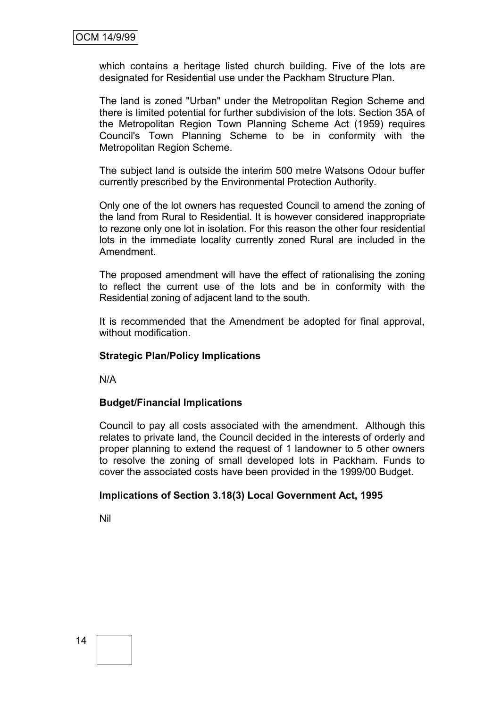which contains a heritage listed church building. Five of the lots are designated for Residential use under the Packham Structure Plan.

The land is zoned "Urban" under the Metropolitan Region Scheme and there is limited potential for further subdivision of the lots. Section 35A of the Metropolitan Region Town Planning Scheme Act (1959) requires Council's Town Planning Scheme to be in conformity with the Metropolitan Region Scheme.

The subject land is outside the interim 500 metre Watsons Odour buffer currently prescribed by the Environmental Protection Authority.

Only one of the lot owners has requested Council to amend the zoning of the land from Rural to Residential. It is however considered inappropriate to rezone only one lot in isolation. For this reason the other four residential lots in the immediate locality currently zoned Rural are included in the Amendment.

The proposed amendment will have the effect of rationalising the zoning to reflect the current use of the lots and be in conformity with the Residential zoning of adjacent land to the south.

It is recommended that the Amendment be adopted for final approval, without modification.

#### **Strategic Plan/Policy Implications**

N/A

#### **Budget/Financial Implications**

Council to pay all costs associated with the amendment. Although this relates to private land, the Council decided in the interests of orderly and proper planning to extend the request of 1 landowner to 5 other owners to resolve the zoning of small developed lots in Packham. Funds to cover the associated costs have been provided in the 1999/00 Budget.

#### **Implications of Section 3.18(3) Local Government Act, 1995**

Nil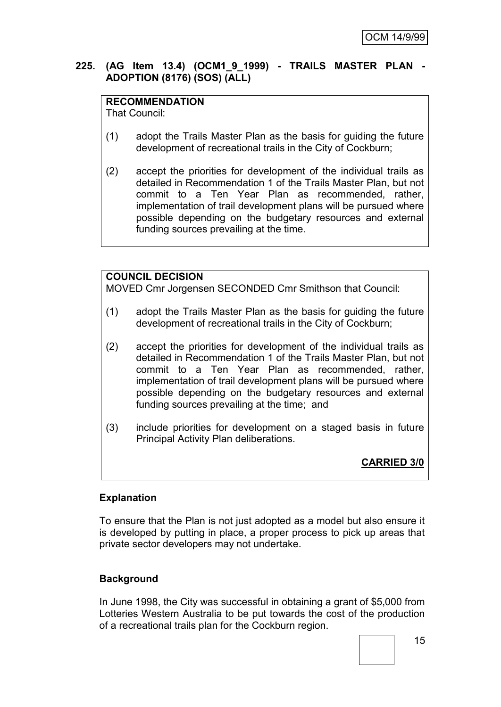## **225. (AG Item 13.4) (OCM1\_9\_1999) - TRAILS MASTER PLAN - ADOPTION (8176) (SOS) (ALL)**

## **RECOMMENDATION**

That Council:

- (1) adopt the Trails Master Plan as the basis for guiding the future development of recreational trails in the City of Cockburn;
- (2) accept the priorities for development of the individual trails as detailed in Recommendation 1 of the Trails Master Plan, but not commit to a Ten Year Plan as recommended, rather, implementation of trail development plans will be pursued where possible depending on the budgetary resources and external funding sources prevailing at the time.

# **COUNCIL DECISION**

MOVED Cmr Jorgensen SECONDED Cmr Smithson that Council:

- (1) adopt the Trails Master Plan as the basis for guiding the future development of recreational trails in the City of Cockburn;
- (2) accept the priorities for development of the individual trails as detailed in Recommendation 1 of the Trails Master Plan, but not commit to a Ten Year Plan as recommended, rather, implementation of trail development plans will be pursued where possible depending on the budgetary resources and external funding sources prevailing at the time; and
- (3) include priorities for development on a staged basis in future Principal Activity Plan deliberations.

**CARRIED 3/0**

### **Explanation**

To ensure that the Plan is not just adopted as a model but also ensure it is developed by putting in place, a proper process to pick up areas that private sector developers may not undertake.

# **Background**

In June 1998, the City was successful in obtaining a grant of \$5,000 from Lotteries Western Australia to be put towards the cost of the production of a recreational trails plan for the Cockburn region.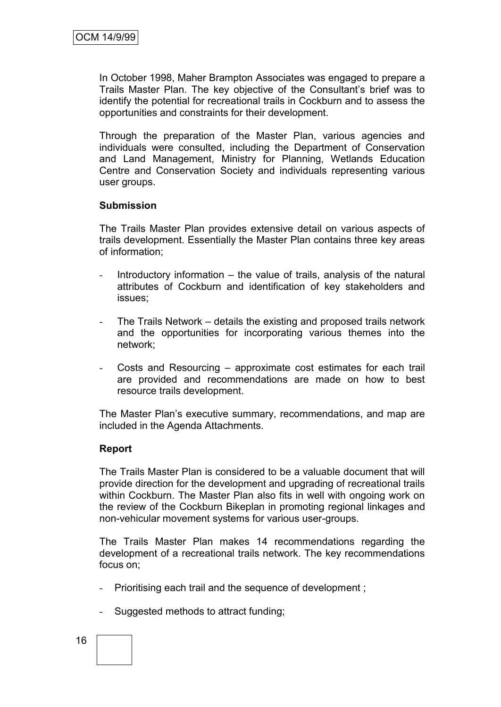In October 1998, Maher Brampton Associates was engaged to prepare a Trails Master Plan. The key objective of the Consultant"s brief was to identify the potential for recreational trails in Cockburn and to assess the opportunities and constraints for their development.

Through the preparation of the Master Plan, various agencies and individuals were consulted, including the Department of Conservation and Land Management, Ministry for Planning, Wetlands Education Centre and Conservation Society and individuals representing various user groups.

#### **Submission**

The Trails Master Plan provides extensive detail on various aspects of trails development. Essentially the Master Plan contains three key areas of information;

- Introductory information  $-$  the value of trails, analysis of the natural attributes of Cockburn and identification of key stakeholders and issues;
- The Trails Network details the existing and proposed trails network and the opportunities for incorporating various themes into the network;
- Costs and Resourcing approximate cost estimates for each trail are provided and recommendations are made on how to best resource trails development.

The Master Plan"s executive summary, recommendations, and map are included in the Agenda Attachments.

### **Report**

The Trails Master Plan is considered to be a valuable document that will provide direction for the development and upgrading of recreational trails within Cockburn. The Master Plan also fits in well with ongoing work on the review of the Cockburn Bikeplan in promoting regional linkages and non-vehicular movement systems for various user-groups.

The Trails Master Plan makes 14 recommendations regarding the development of a recreational trails network. The key recommendations focus on;

- Prioritising each trail and the sequence of development;
- Suggested methods to attract funding;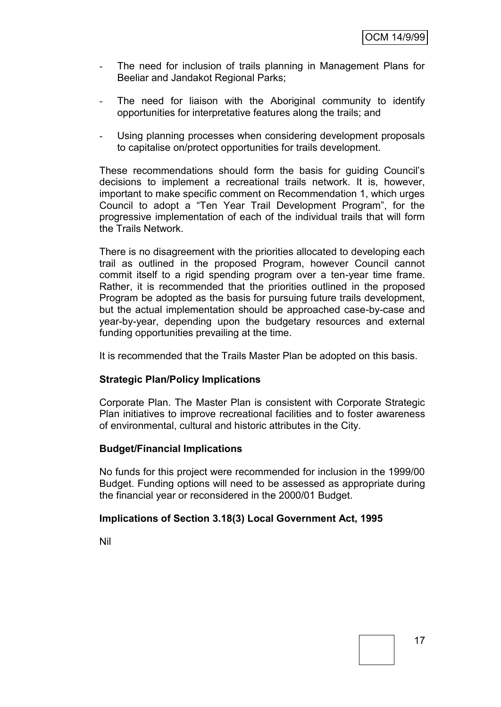- The need for inclusion of trails planning in Management Plans for Beeliar and Jandakot Regional Parks;
- The need for liaison with the Aboriginal community to identify opportunities for interpretative features along the trails; and
- Using planning processes when considering development proposals to capitalise on/protect opportunities for trails development.

These recommendations should form the basis for guiding Council"s decisions to implement a recreational trails network. It is, however, important to make specific comment on Recommendation 1, which urges Council to adopt a "Ten Year Trail Development Program", for the progressive implementation of each of the individual trails that will form the Trails Network.

There is no disagreement with the priorities allocated to developing each trail as outlined in the proposed Program, however Council cannot commit itself to a rigid spending program over a ten-year time frame. Rather, it is recommended that the priorities outlined in the proposed Program be adopted as the basis for pursuing future trails development, but the actual implementation should be approached case-by-case and year-by-year, depending upon the budgetary resources and external funding opportunities prevailing at the time.

It is recommended that the Trails Master Plan be adopted on this basis.

### **Strategic Plan/Policy Implications**

Corporate Plan. The Master Plan is consistent with Corporate Strategic Plan initiatives to improve recreational facilities and to foster awareness of environmental, cultural and historic attributes in the City.

#### **Budget/Financial Implications**

No funds for this project were recommended for inclusion in the 1999/00 Budget. Funding options will need to be assessed as appropriate during the financial year or reconsidered in the 2000/01 Budget.

#### **Implications of Section 3.18(3) Local Government Act, 1995**

Nil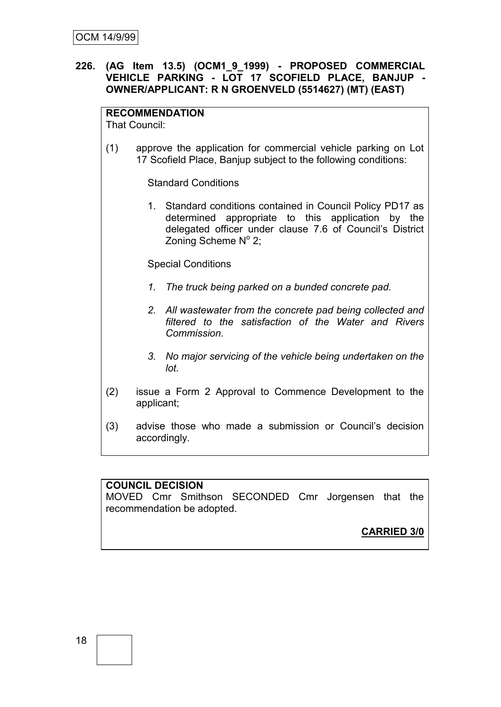## **226. (AG Item 13.5) (OCM1\_9\_1999) - PROPOSED COMMERCIAL VEHICLE PARKING - LOT 17 SCOFIELD PLACE, BANJUP - OWNER/APPLICANT: R N GROENVELD (5514627) (MT) (EAST)**

## **RECOMMENDATION**

That Council:

(1) approve the application for commercial vehicle parking on Lot 17 Scofield Place, Banjup subject to the following conditions:

Standard Conditions

1. Standard conditions contained in Council Policy PD17 as determined appropriate to this application by the delegated officer under clause 7.6 of Council"s District Zoning Scheme  $N^{\circ}$  2;

Special Conditions

- *1. The truck being parked on a bunded concrete pad.*
- *2. All wastewater from the concrete pad being collected and filtered to the satisfaction of the Water and Rivers Commission.*
- *3. No major servicing of the vehicle being undertaken on the lot.*
- (2) issue a Form 2 Approval to Commence Development to the applicant;
- (3) advise those who made a submission or Council"s decision accordingly.

### **COUNCIL DECISION**

MOVED Cmr Smithson SECONDED Cmr Jorgensen that the recommendation be adopted.

**CARRIED 3/0**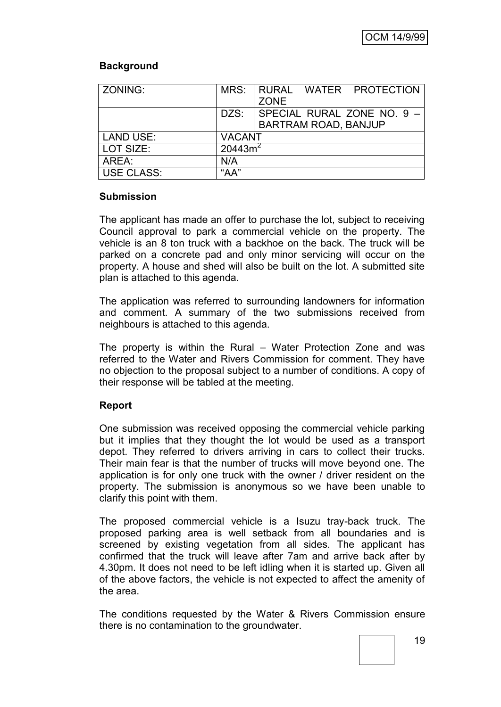## **Background**

| ZONING:           |                     | MRS: RURAL WATER PROTECTION |
|-------------------|---------------------|-----------------------------|
|                   |                     | <b>ZONE</b>                 |
|                   | DZS:                | SPECIAL RURAL ZONE NO. 9 -  |
|                   |                     | <b>BARTRAM ROAD, BANJUP</b> |
| <b>LAND USE:</b>  | <b>VACANT</b>       |                             |
| LOT SIZE:         | 20443m <sup>2</sup> |                             |
| AREA:             | N/A                 |                             |
| <b>USE CLASS:</b> | "AA"                |                             |

### **Submission**

The applicant has made an offer to purchase the lot, subject to receiving Council approval to park a commercial vehicle on the property. The vehicle is an 8 ton truck with a backhoe on the back. The truck will be parked on a concrete pad and only minor servicing will occur on the property. A house and shed will also be built on the lot. A submitted site plan is attached to this agenda.

The application was referred to surrounding landowners for information and comment. A summary of the two submissions received from neighbours is attached to this agenda.

The property is within the Rural – Water Protection Zone and was referred to the Water and Rivers Commission for comment. They have no objection to the proposal subject to a number of conditions. A copy of their response will be tabled at the meeting.

# **Report**

One submission was received opposing the commercial vehicle parking but it implies that they thought the lot would be used as a transport depot. They referred to drivers arriving in cars to collect their trucks. Their main fear is that the number of trucks will move beyond one. The application is for only one truck with the owner / driver resident on the property. The submission is anonymous so we have been unable to clarify this point with them.

The proposed commercial vehicle is a Isuzu tray-back truck. The proposed parking area is well setback from all boundaries and is screened by existing vegetation from all sides. The applicant has confirmed that the truck will leave after 7am and arrive back after by 4.30pm. It does not need to be left idling when it is started up. Given all of the above factors, the vehicle is not expected to affect the amenity of the area.

The conditions requested by the Water & Rivers Commission ensure there is no contamination to the groundwater.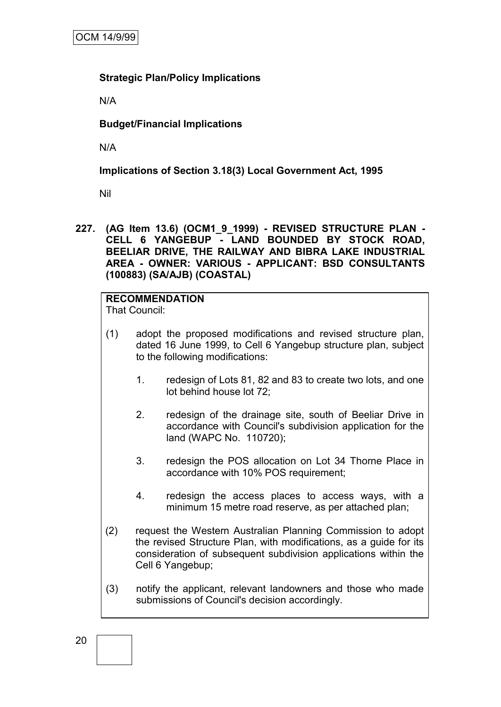## **Strategic Plan/Policy Implications**

N/A

**Budget/Financial Implications**

N/A

# **Implications of Section 3.18(3) Local Government Act, 1995**

Nil

**227. (AG Item 13.6) (OCM1\_9\_1999) - REVISED STRUCTURE PLAN - CELL 6 YANGEBUP - LAND BOUNDED BY STOCK ROAD, BEELIAR DRIVE, THE RAILWAY AND BIBRA LAKE INDUSTRIAL AREA - OWNER: VARIOUS - APPLICANT: BSD CONSULTANTS (100883) (SA/AJB) (COASTAL)**

# **RECOMMENDATION**

That Council:

- (1) adopt the proposed modifications and revised structure plan, dated 16 June 1999, to Cell 6 Yangebup structure plan, subject to the following modifications:
	- 1. redesign of Lots 81, 82 and 83 to create two lots, and one lot behind house lot 72;
	- 2. redesign of the drainage site, south of Beeliar Drive in accordance with Council's subdivision application for the land (WAPC No. 110720);
	- 3. redesign the POS allocation on Lot 34 Thorne Place in accordance with 10% POS requirement;
	- 4. redesign the access places to access ways, with a minimum 15 metre road reserve, as per attached plan;
- (2) request the Western Australian Planning Commission to adopt the revised Structure Plan, with modifications, as a guide for its consideration of subsequent subdivision applications within the Cell 6 Yangebup;
- (3) notify the applicant, relevant landowners and those who made submissions of Council's decision accordingly.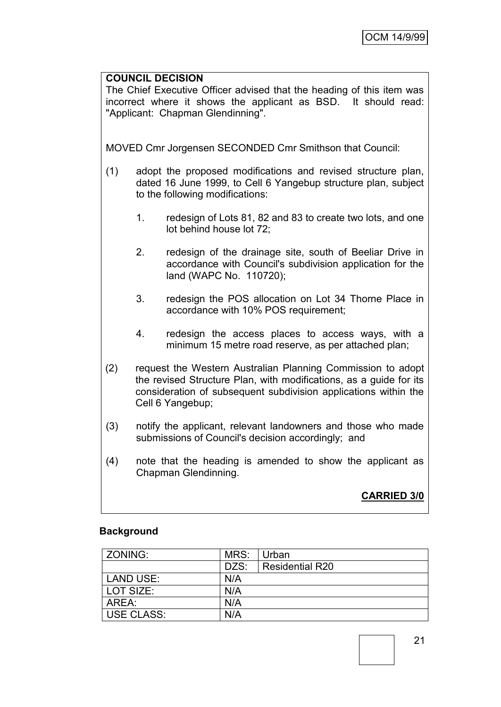## **COUNCIL DECISION**

The Chief Executive Officer advised that the heading of this item was incorrect where it shows the applicant as BSD. It should read: "Applicant: Chapman Glendinning".

MOVED Cmr Jorgensen SECONDED Cmr Smithson that Council:

- (1) adopt the proposed modifications and revised structure plan, dated 16 June 1999, to Cell 6 Yangebup structure plan, subject to the following modifications:
	- 1. redesign of Lots 81, 82 and 83 to create two lots, and one lot behind house lot 72;
	- 2. redesign of the drainage site, south of Beeliar Drive in accordance with Council's subdivision application for the land (WAPC No. 110720);
	- 3. redesign the POS allocation on Lot 34 Thorne Place in accordance with 10% POS requirement:
	- 4. redesign the access places to access ways, with a minimum 15 metre road reserve, as per attached plan;
- (2) request the Western Australian Planning Commission to adopt the revised Structure Plan, with modifications, as a guide for its consideration of subsequent subdivision applications within the Cell 6 Yangebup;
- (3) notify the applicant, relevant landowners and those who made submissions of Council's decision accordingly; and
- (4) note that the heading is amended to show the applicant as Chapman Glendinning.

**CARRIED 3/0**

### **Background**

| ZONING:           | MRS: | Urban                  |
|-------------------|------|------------------------|
|                   | DZS: | <b>Residential R20</b> |
| <b>LAND USE:</b>  | N/A  |                        |
| LOT SIZE:         | N/A  |                        |
| AREA:             | N/A  |                        |
| <b>USE CLASS:</b> | N/A  |                        |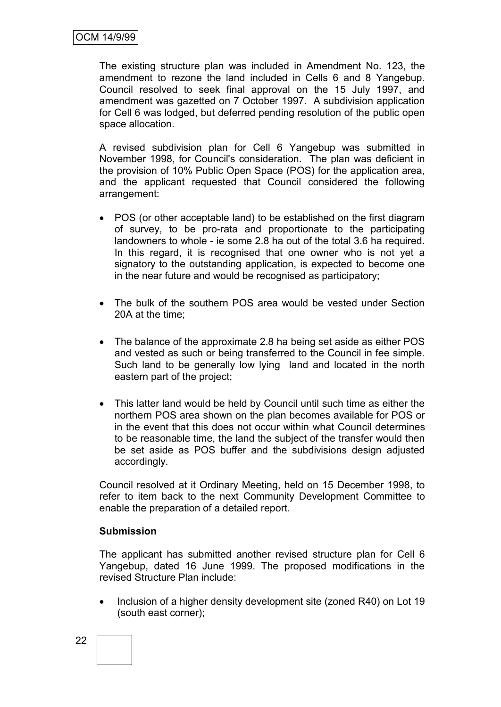The existing structure plan was included in Amendment No. 123, the amendment to rezone the land included in Cells 6 and 8 Yangebup. Council resolved to seek final approval on the 15 July 1997, and amendment was gazetted on 7 October 1997. A subdivision application for Cell 6 was lodged, but deferred pending resolution of the public open space allocation.

A revised subdivision plan for Cell 6 Yangebup was submitted in November 1998, for Council's consideration. The plan was deficient in the provision of 10% Public Open Space (POS) for the application area, and the applicant requested that Council considered the following arrangement:

- POS (or other acceptable land) to be established on the first diagram of survey, to be pro-rata and proportionate to the participating landowners to whole - ie some 2.8 ha out of the total 3.6 ha required. In this regard, it is recognised that one owner who is not yet a signatory to the outstanding application, is expected to become one in the near future and would be recognised as participatory;
- The bulk of the southern POS area would be vested under Section 20A at the time;
- The balance of the approximate 2.8 ha being set aside as either POS and vested as such or being transferred to the Council in fee simple. Such land to be generally low lying land and located in the north eastern part of the project;
- This latter land would be held by Council until such time as either the northern POS area shown on the plan becomes available for POS or in the event that this does not occur within what Council determines to be reasonable time, the land the subject of the transfer would then be set aside as POS buffer and the subdivisions design adjusted accordingly.

Council resolved at it Ordinary Meeting, held on 15 December 1998, to refer to item back to the next Community Development Committee to enable the preparation of a detailed report.

#### **Submission**

The applicant has submitted another revised structure plan for Cell 6 Yangebup, dated 16 June 1999. The proposed modifications in the revised Structure Plan include:

 Inclusion of a higher density development site (zoned R40) on Lot 19 (south east corner);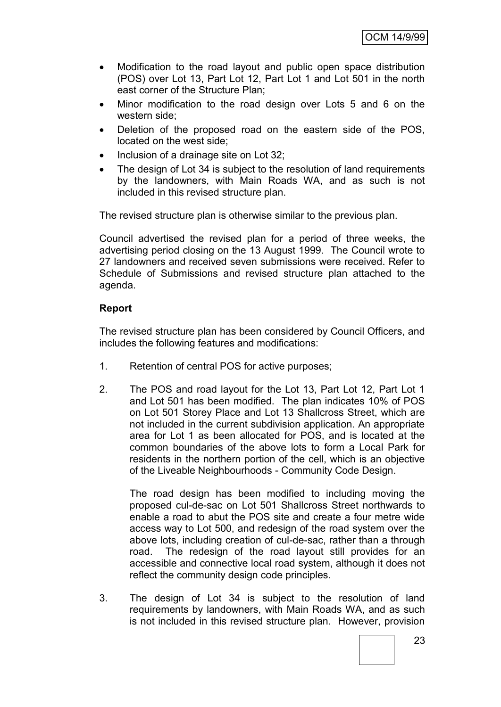- Modification to the road layout and public open space distribution (POS) over Lot 13, Part Lot 12, Part Lot 1 and Lot 501 in the north east corner of the Structure Plan;
- Minor modification to the road design over Lots 5 and 6 on the western side;
- Deletion of the proposed road on the eastern side of the POS, located on the west side;
- Inclusion of a drainage site on Lot 32;
- The design of Lot 34 is subject to the resolution of land requirements by the landowners, with Main Roads WA, and as such is not included in this revised structure plan.

The revised structure plan is otherwise similar to the previous plan.

Council advertised the revised plan for a period of three weeks, the advertising period closing on the 13 August 1999. The Council wrote to 27 landowners and received seven submissions were received. Refer to Schedule of Submissions and revised structure plan attached to the agenda.

### **Report**

The revised structure plan has been considered by Council Officers, and includes the following features and modifications:

- 1. Retention of central POS for active purposes;
- 2. The POS and road layout for the Lot 13, Part Lot 12, Part Lot 1 and Lot 501 has been modified. The plan indicates 10% of POS on Lot 501 Storey Place and Lot 13 Shallcross Street, which are not included in the current subdivision application. An appropriate area for Lot 1 as been allocated for POS, and is located at the common boundaries of the above lots to form a Local Park for residents in the northern portion of the cell, which is an objective of the Liveable Neighbourhoods - Community Code Design.

The road design has been modified to including moving the proposed cul-de-sac on Lot 501 Shallcross Street northwards to enable a road to abut the POS site and create a four metre wide access way to Lot 500, and redesign of the road system over the above lots, including creation of cul-de-sac, rather than a through road. The redesign of the road layout still provides for an accessible and connective local road system, although it does not reflect the community design code principles.

3. The design of Lot 34 is subject to the resolution of land requirements by landowners, with Main Roads WA, and as such is not included in this revised structure plan. However, provision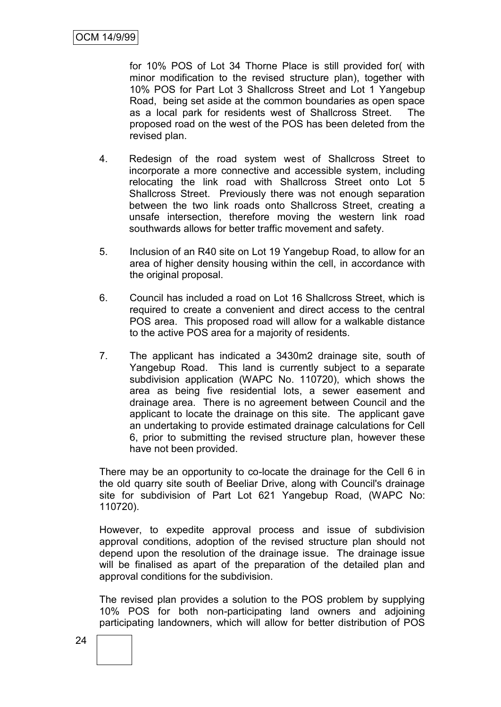for 10% POS of Lot 34 Thorne Place is still provided for( with minor modification to the revised structure plan), together with 10% POS for Part Lot 3 Shallcross Street and Lot 1 Yangebup Road, being set aside at the common boundaries as open space as a local park for residents west of Shallcross Street. The proposed road on the west of the POS has been deleted from the revised plan.

- 4. Redesign of the road system west of Shallcross Street to incorporate a more connective and accessible system, including relocating the link road with Shallcross Street onto Lot 5 Shallcross Street. Previously there was not enough separation between the two link roads onto Shallcross Street, creating a unsafe intersection, therefore moving the western link road southwards allows for better traffic movement and safety.
- 5. Inclusion of an R40 site on Lot 19 Yangebup Road, to allow for an area of higher density housing within the cell, in accordance with the original proposal.
- 6. Council has included a road on Lot 16 Shallcross Street, which is required to create a convenient and direct access to the central POS area. This proposed road will allow for a walkable distance to the active POS area for a majority of residents.
- 7. The applicant has indicated a 3430m2 drainage site, south of Yangebup Road. This land is currently subject to a separate subdivision application (WAPC No. 110720), which shows the area as being five residential lots, a sewer easement and drainage area. There is no agreement between Council and the applicant to locate the drainage on this site. The applicant gave an undertaking to provide estimated drainage calculations for Cell 6, prior to submitting the revised structure plan, however these have not been provided.

There may be an opportunity to co-locate the drainage for the Cell 6 in the old quarry site south of Beeliar Drive, along with Council's drainage site for subdivision of Part Lot 621 Yangebup Road, (WAPC No: 110720).

However, to expedite approval process and issue of subdivision approval conditions, adoption of the revised structure plan should not depend upon the resolution of the drainage issue. The drainage issue will be finalised as apart of the preparation of the detailed plan and approval conditions for the subdivision.

The revised plan provides a solution to the POS problem by supplying 10% POS for both non-participating land owners and adjoining participating landowners, which will allow for better distribution of POS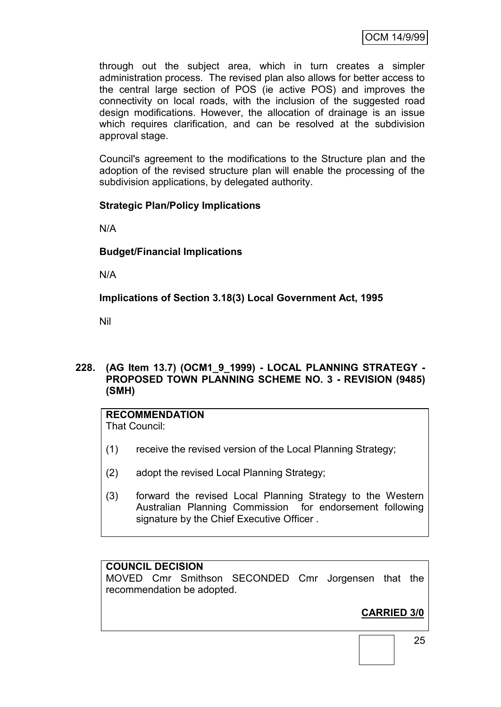through out the subject area, which in turn creates a simpler administration process. The revised plan also allows for better access to the central large section of POS (ie active POS) and improves the connectivity on local roads, with the inclusion of the suggested road design modifications. However, the allocation of drainage is an issue which requires clarification, and can be resolved at the subdivision approval stage.

Council's agreement to the modifications to the Structure plan and the adoption of the revised structure plan will enable the processing of the subdivision applications, by delegated authority.

### **Strategic Plan/Policy Implications**

N/A

### **Budget/Financial Implications**

N/A

**Implications of Section 3.18(3) Local Government Act, 1995**

Nil

## **228. (AG Item 13.7) (OCM1\_9\_1999) - LOCAL PLANNING STRATEGY - PROPOSED TOWN PLANNING SCHEME NO. 3 - REVISION (9485) (SMH)**

# **RECOMMENDATION**

That Council:

- (1) receive the revised version of the Local Planning Strategy;
- (2) adopt the revised Local Planning Strategy;
- (3) forward the revised Local Planning Strategy to the Western Australian Planning Commission for endorsement following signature by the Chief Executive Officer .

## **COUNCIL DECISION**

MOVED Cmr Smithson SECONDED Cmr Jorgensen that the recommendation be adopted.

# **CARRIED 3/0**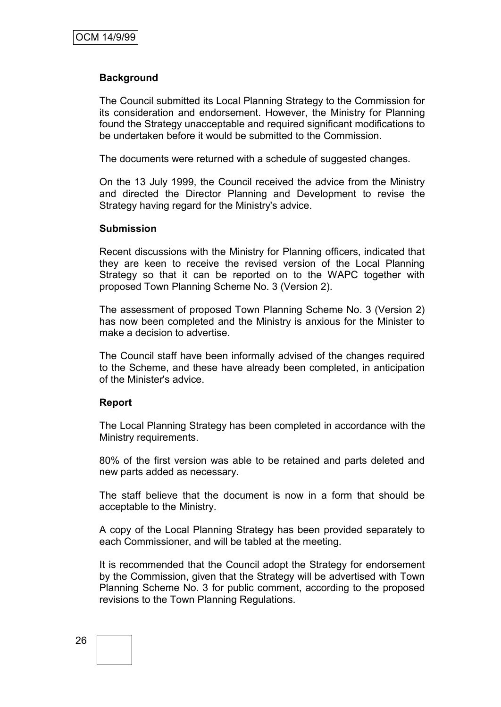#### **Background**

The Council submitted its Local Planning Strategy to the Commission for its consideration and endorsement. However, the Ministry for Planning found the Strategy unacceptable and required significant modifications to be undertaken before it would be submitted to the Commission.

The documents were returned with a schedule of suggested changes.

On the 13 July 1999, the Council received the advice from the Ministry and directed the Director Planning and Development to revise the Strategy having regard for the Ministry's advice.

#### **Submission**

Recent discussions with the Ministry for Planning officers, indicated that they are keen to receive the revised version of the Local Planning Strategy so that it can be reported on to the WAPC together with proposed Town Planning Scheme No. 3 (Version 2).

The assessment of proposed Town Planning Scheme No. 3 (Version 2) has now been completed and the Ministry is anxious for the Minister to make a decision to advertise.

The Council staff have been informally advised of the changes required to the Scheme, and these have already been completed, in anticipation of the Minister's advice.

#### **Report**

The Local Planning Strategy has been completed in accordance with the Ministry requirements.

80% of the first version was able to be retained and parts deleted and new parts added as necessary.

The staff believe that the document is now in a form that should be acceptable to the Ministry.

A copy of the Local Planning Strategy has been provided separately to each Commissioner, and will be tabled at the meeting.

It is recommended that the Council adopt the Strategy for endorsement by the Commission, given that the Strategy will be advertised with Town Planning Scheme No. 3 for public comment, according to the proposed revisions to the Town Planning Regulations.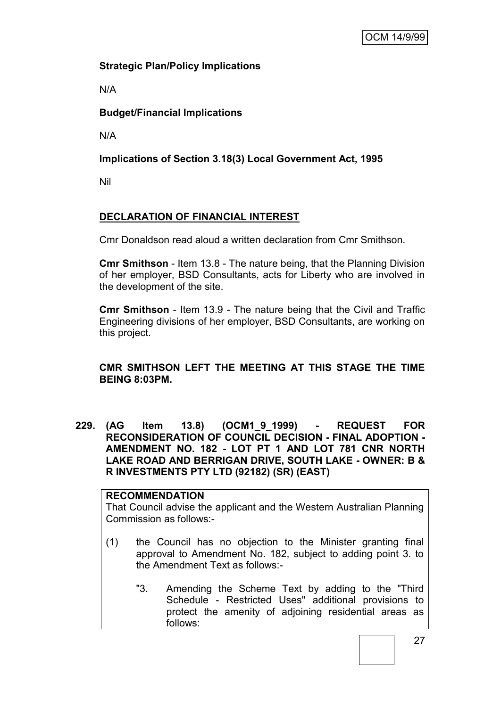# **Strategic Plan/Policy Implications**

N/A

# **Budget/Financial Implications**

N/A

# **Implications of Section 3.18(3) Local Government Act, 1995**

Nil

# **DECLARATION OF FINANCIAL INTEREST**

Cmr Donaldson read aloud a written declaration from Cmr Smithson.

**Cmr Smithson** - Item 13.8 - The nature being, that the Planning Division of her employer, BSD Consultants, acts for Liberty who are involved in the development of the site.

**Cmr Smithson** - Item 13.9 - The nature being that the Civil and Traffic Engineering divisions of her employer, BSD Consultants, are working on this project.

# **CMR SMITHSON LEFT THE MEETING AT THIS STAGE THE TIME BEING 8:03PM.**

**229. (AG Item 13.8) (OCM1\_9\_1999) - REQUEST FOR RECONSIDERATION OF COUNCIL DECISION - FINAL ADOPTION - AMENDMENT NO. 182 - LOT PT 1 AND LOT 781 CNR NORTH LAKE ROAD AND BERRIGAN DRIVE, SOUTH LAKE - OWNER: B & R INVESTMENTS PTY LTD (92182) (SR) (EAST)**

# **RECOMMENDATION**

That Council advise the applicant and the Western Australian Planning Commission as follows:-

- (1) the Council has no objection to the Minister granting final approval to Amendment No. 182, subject to adding point 3. to the Amendment Text as follows:-
	- "3. Amending the Scheme Text by adding to the "Third Schedule - Restricted Uses" additional provisions to protect the amenity of adjoining residential areas as follows: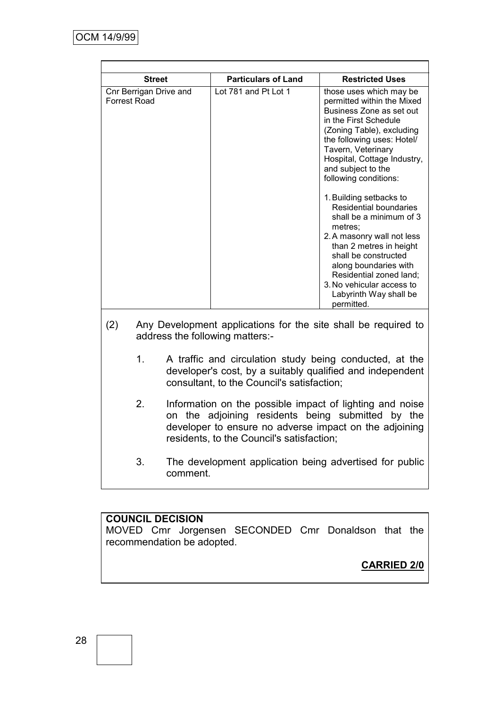| <b>Street</b>                                                                                                                                                                                                                          |                                                                                                                                                                          |          | <b>Particulars of Land</b>                              | <b>Restricted Uses</b>                                                                                                                                                                                                                                                                                   |  |  |
|----------------------------------------------------------------------------------------------------------------------------------------------------------------------------------------------------------------------------------------|--------------------------------------------------------------------------------------------------------------------------------------------------------------------------|----------|---------------------------------------------------------|----------------------------------------------------------------------------------------------------------------------------------------------------------------------------------------------------------------------------------------------------------------------------------------------------------|--|--|
| Cnr Berrigan Drive and<br><b>Forrest Road</b>                                                                                                                                                                                          |                                                                                                                                                                          |          | Lot 781 and Pt Lot 1                                    | those uses which may be<br>permitted within the Mixed<br>Business Zone as set out<br>in the First Schedule<br>(Zoning Table), excluding<br>the following uses: Hotel/<br>Tavern, Veterinary<br>Hospital, Cottage Industry,<br>and subject to the<br>following conditions:                                |  |  |
|                                                                                                                                                                                                                                        |                                                                                                                                                                          |          |                                                         | 1. Building setbacks to<br><b>Residential boundaries</b><br>shall be a minimum of 3<br>metres:<br>2. A masonry wall not less<br>than 2 metres in height<br>shall be constructed<br>along boundaries with<br>Residential zoned land;<br>3. No vehicular access to<br>Labyrinth Way shall be<br>permitted. |  |  |
| (2)                                                                                                                                                                                                                                    | Any Development applications for the site shall be required to<br>address the following matters:-                                                                        |          |                                                         |                                                                                                                                                                                                                                                                                                          |  |  |
|                                                                                                                                                                                                                                        | 1.<br>A traffic and circulation study being conducted, at the<br>developer's cost, by a suitably qualified and independent<br>consultant, to the Council's satisfaction; |          |                                                         |                                                                                                                                                                                                                                                                                                          |  |  |
| 2 <sub>1</sub><br>Information on the possible impact of lighting and noise<br>on the adjoining residents being submitted by the<br>developer to ensure no adverse impact on the adjoining<br>residents, to the Council's satisfaction; |                                                                                                                                                                          |          |                                                         |                                                                                                                                                                                                                                                                                                          |  |  |
|                                                                                                                                                                                                                                        | 3.                                                                                                                                                                       | comment. | The development application being advertised for public |                                                                                                                                                                                                                                                                                                          |  |  |

## **COUNCIL DECISION**

MOVED Cmr Jorgensen SECONDED Cmr Donaldson that the recommendation be adopted.

**CARRIED 2/0**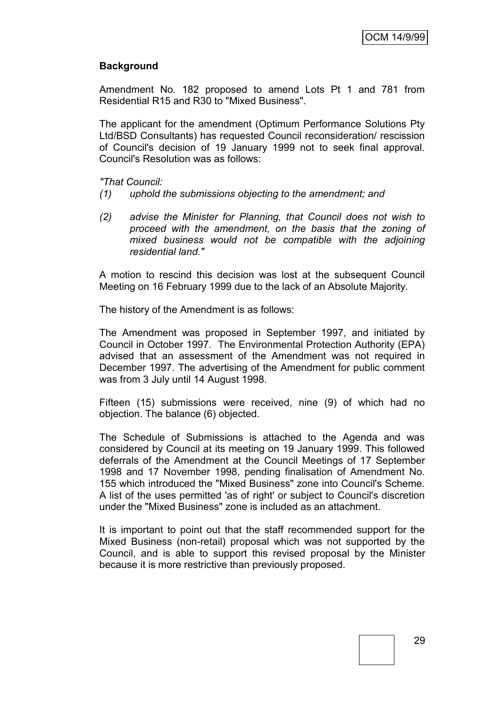## **Background**

Amendment No. 182 proposed to amend Lots Pt 1 and 781 from Residential R15 and R30 to "Mixed Business".

The applicant for the amendment (Optimum Performance Solutions Pty Ltd/BSD Consultants) has requested Council reconsideration/ rescission of Council's decision of 19 January 1999 not to seek final approval. Council's Resolution was as follows:

*"That Council:*

- *(1) uphold the submissions objecting to the amendment; and*
- *(2) advise the Minister for Planning, that Council does not wish to proceed with the amendment, on the basis that the zoning of mixed business would not be compatible with the adjoining residential land."*

A motion to rescind this decision was lost at the subsequent Council Meeting on 16 February 1999 due to the lack of an Absolute Majority.

The history of the Amendment is as follows:

The Amendment was proposed in September 1997, and initiated by Council in October 1997. The Environmental Protection Authority (EPA) advised that an assessment of the Amendment was not required in December 1997. The advertising of the Amendment for public comment was from 3 July until 14 August 1998.

Fifteen (15) submissions were received, nine (9) of which had no objection. The balance (6) objected.

The Schedule of Submissions is attached to the Agenda and was considered by Council at its meeting on 19 January 1999. This followed deferrals of the Amendment at the Council Meetings of 17 September 1998 and 17 November 1998, pending finalisation of Amendment No. 155 which introduced the "Mixed Business" zone into Council's Scheme. A list of the uses permitted 'as of right' or subject to Council's discretion under the "Mixed Business" zone is included as an attachment.

It is important to point out that the staff recommended support for the Mixed Business (non-retail) proposal which was not supported by the Council, and is able to support this revised proposal by the Minister because it is more restrictive than previously proposed.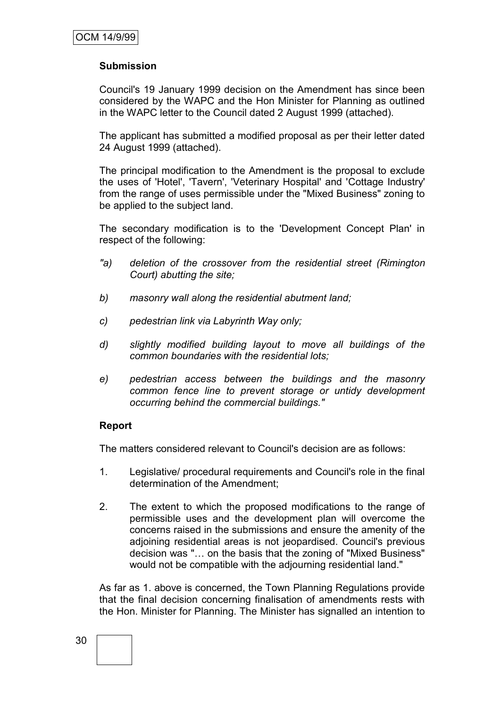## **Submission**

Council's 19 January 1999 decision on the Amendment has since been considered by the WAPC and the Hon Minister for Planning as outlined in the WAPC letter to the Council dated 2 August 1999 (attached).

The applicant has submitted a modified proposal as per their letter dated 24 August 1999 (attached).

The principal modification to the Amendment is the proposal to exclude the uses of 'Hotel', 'Tavern', 'Veterinary Hospital' and 'Cottage Industry' from the range of uses permissible under the "Mixed Business" zoning to be applied to the subject land.

The secondary modification is to the 'Development Concept Plan' in respect of the following:

- *"a) deletion of the crossover from the residential street (Rimington Court) abutting the site;*
- *b) masonry wall along the residential abutment land;*
- *c) pedestrian link via Labyrinth Way only;*
- *d) slightly modified building layout to move all buildings of the common boundaries with the residential lots;*
- *e) pedestrian access between the buildings and the masonry common fence line to prevent storage or untidy development occurring behind the commercial buildings."*

### **Report**

The matters considered relevant to Council's decision are as follows:

- 1. Legislative/ procedural requirements and Council's role in the final determination of the Amendment;
- 2. The extent to which the proposed modifications to the range of permissible uses and the development plan will overcome the concerns raised in the submissions and ensure the amenity of the adjoining residential areas is not jeopardised. Council's previous decision was "… on the basis that the zoning of "Mixed Business" would not be compatible with the adjourning residential land."

As far as 1. above is concerned, the Town Planning Regulations provide that the final decision concerning finalisation of amendments rests with the Hon. Minister for Planning. The Minister has signalled an intention to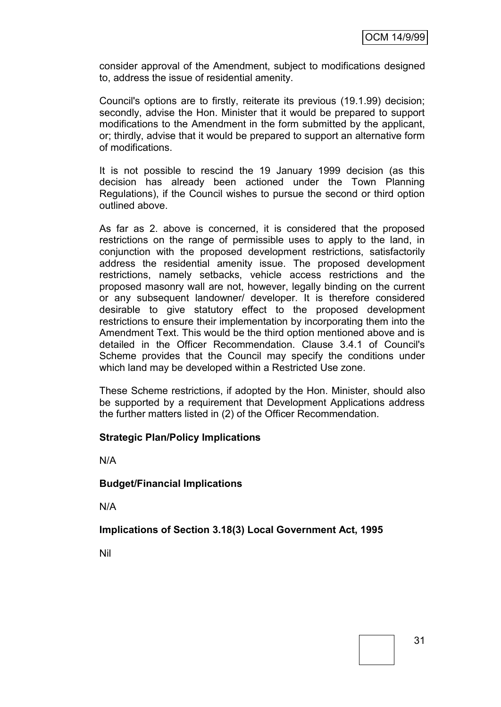consider approval of the Amendment, subject to modifications designed to, address the issue of residential amenity.

Council's options are to firstly, reiterate its previous (19.1.99) decision; secondly, advise the Hon. Minister that it would be prepared to support modifications to the Amendment in the form submitted by the applicant, or; thirdly, advise that it would be prepared to support an alternative form of modifications.

It is not possible to rescind the 19 January 1999 decision (as this decision has already been actioned under the Town Planning Regulations), if the Council wishes to pursue the second or third option outlined above.

As far as 2. above is concerned, it is considered that the proposed restrictions on the range of permissible uses to apply to the land, in conjunction with the proposed development restrictions, satisfactorily address the residential amenity issue. The proposed development restrictions, namely setbacks, vehicle access restrictions and the proposed masonry wall are not, however, legally binding on the current or any subsequent landowner/ developer. It is therefore considered desirable to give statutory effect to the proposed development restrictions to ensure their implementation by incorporating them into the Amendment Text. This would be the third option mentioned above and is detailed in the Officer Recommendation. Clause 3.4.1 of Council's Scheme provides that the Council may specify the conditions under which land may be developed within a Restricted Use zone.

These Scheme restrictions, if adopted by the Hon. Minister, should also be supported by a requirement that Development Applications address the further matters listed in (2) of the Officer Recommendation.

### **Strategic Plan/Policy Implications**

N/A

### **Budget/Financial Implications**

N/A

### **Implications of Section 3.18(3) Local Government Act, 1995**

Nil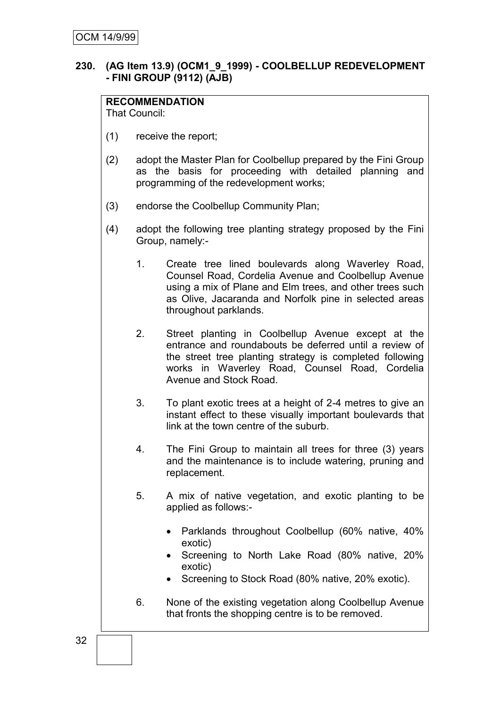### **230. (AG Item 13.9) (OCM1\_9\_1999) - COOLBELLUP REDEVELOPMENT - FINI GROUP (9112) (AJB)**

# **RECOMMENDATION**

That Council:

- (1) receive the report;
- (2) adopt the Master Plan for Coolbellup prepared by the Fini Group as the basis for proceeding with detailed planning and programming of the redevelopment works;
- (3) endorse the Coolbellup Community Plan;
- (4) adopt the following tree planting strategy proposed by the Fini Group, namely:-
	- 1. Create tree lined boulevards along Waverley Road, Counsel Road, Cordelia Avenue and Coolbellup Avenue using a mix of Plane and Elm trees, and other trees such as Olive, Jacaranda and Norfolk pine in selected areas throughout parklands.
	- 2. Street planting in Coolbellup Avenue except at the entrance and roundabouts be deferred until a review of the street tree planting strategy is completed following works in Waverley Road, Counsel Road, Cordelia Avenue and Stock Road.
	- 3. To plant exotic trees at a height of 2-4 metres to give an instant effect to these visually important boulevards that link at the town centre of the suburb.
	- 4. The Fini Group to maintain all trees for three (3) years and the maintenance is to include watering, pruning and replacement.
	- 5. A mix of native vegetation, and exotic planting to be applied as follows:-
		- Parklands throughout Coolbellup (60% native, 40% exotic)
		- Screening to North Lake Road (80% native, 20% exotic)
		- Screening to Stock Road (80% native, 20% exotic).
	- 6. None of the existing vegetation along Coolbellup Avenue that fronts the shopping centre is to be removed.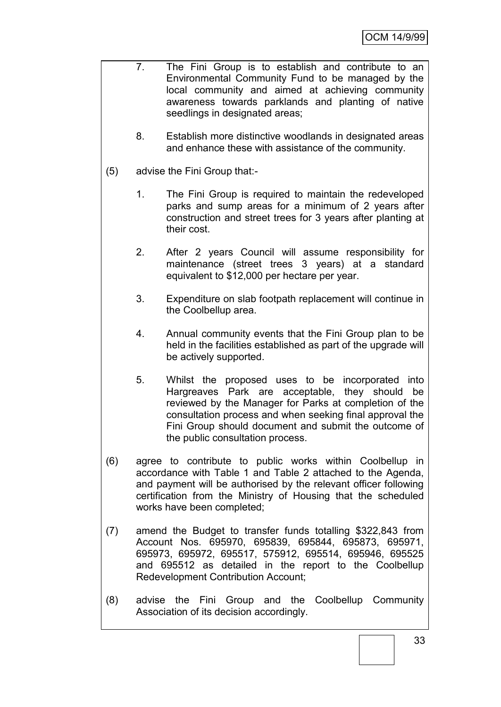- 7. The Fini Group is to establish and contribute to an Environmental Community Fund to be managed by the local community and aimed at achieving community awareness towards parklands and planting of native seedlings in designated areas;
	- 8. Establish more distinctive woodlands in designated areas and enhance these with assistance of the community.
- (5) advise the Fini Group that:-
	- 1. The Fini Group is required to maintain the redeveloped parks and sump areas for a minimum of 2 years after construction and street trees for 3 years after planting at their cost.
	- 2. After 2 years Council will assume responsibility for maintenance (street trees 3 years) at a standard equivalent to \$12,000 per hectare per year.
	- 3. Expenditure on slab footpath replacement will continue in the Coolbellup area.
	- 4. Annual community events that the Fini Group plan to be held in the facilities established as part of the upgrade will be actively supported.
	- 5. Whilst the proposed uses to be incorporated into Hargreaves Park are acceptable, they should be reviewed by the Manager for Parks at completion of the consultation process and when seeking final approval the Fini Group should document and submit the outcome of the public consultation process.
- (6) agree to contribute to public works within Coolbellup in accordance with Table 1 and Table 2 attached to the Agenda, and payment will be authorised by the relevant officer following certification from the Ministry of Housing that the scheduled works have been completed;
- (7) amend the Budget to transfer funds totalling \$322,843 from Account Nos. 695970, 695839, 695844, 695873, 695971, 695973, 695972, 695517, 575912, 695514, 695946, 695525 and 695512 as detailed in the report to the Coolbellup Redevelopment Contribution Account;
- (8) advise the Fini Group and the Coolbellup Community Association of its decision accordingly.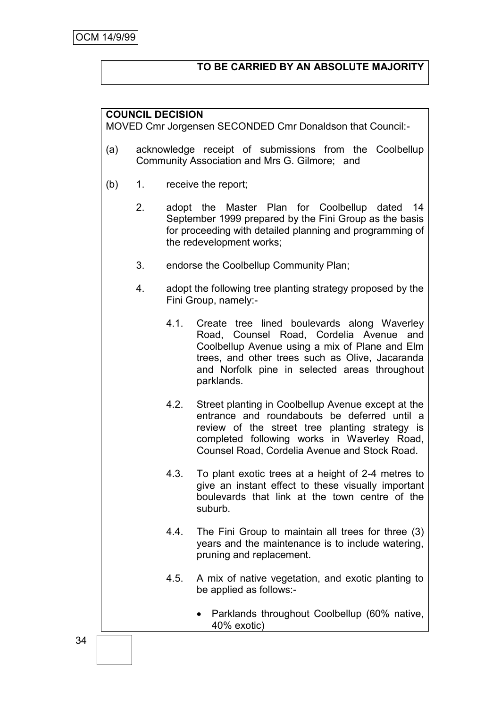# **TO BE CARRIED BY AN ABSOLUTE MAJORITY**

## **COUNCIL DECISION**

MOVED Cmr Jorgensen SECONDED Cmr Donaldson that Council:-

- (a) acknowledge receipt of submissions from the Coolbellup Community Association and Mrs G. Gilmore; and
- (b) 1. receive the report;
	- 2. adopt the Master Plan for Coolbellup dated 14 September 1999 prepared by the Fini Group as the basis for proceeding with detailed planning and programming of the redevelopment works;
	- 3. endorse the Coolbellup Community Plan;
	- 4. adopt the following tree planting strategy proposed by the Fini Group, namely:-
		- 4.1. Create tree lined boulevards along Waverley Road, Counsel Road, Cordelia Avenue and Coolbellup Avenue using a mix of Plane and Elm trees, and other trees such as Olive, Jacaranda and Norfolk pine in selected areas throughout parklands.
		- 4.2. Street planting in Coolbellup Avenue except at the entrance and roundabouts be deferred until a review of the street tree planting strategy is completed following works in Waverley Road, Counsel Road, Cordelia Avenue and Stock Road.
		- 4.3. To plant exotic trees at a height of 2-4 metres to give an instant effect to these visually important boulevards that link at the town centre of the suburb.
		- 4.4. The Fini Group to maintain all trees for three (3) years and the maintenance is to include watering, pruning and replacement.
		- 4.5. A mix of native vegetation, and exotic planting to be applied as follows:-
			- Parklands throughout Coolbellup (60% native, 40% exotic)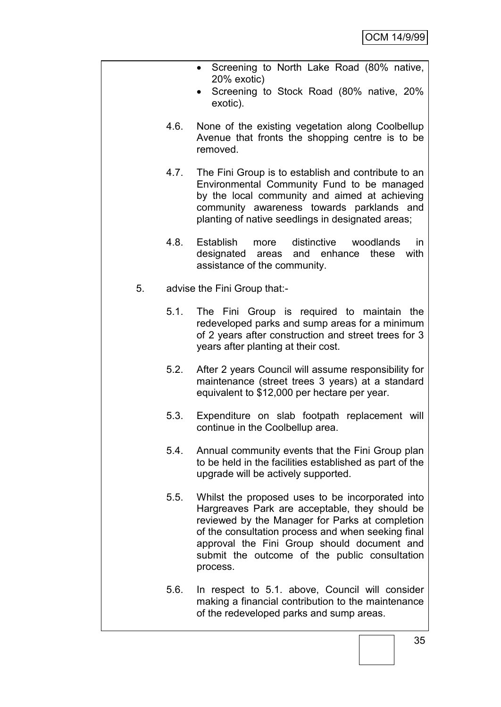- Screening to North Lake Road (80% native, 20% exotic)
- Screening to Stock Road (80% native, 20% exotic).
- 4.6. None of the existing vegetation along Coolbellup Avenue that fronts the shopping centre is to be removed.
- 4.7. The Fini Group is to establish and contribute to an Environmental Community Fund to be managed by the local community and aimed at achieving community awareness towards parklands and planting of native seedlings in designated areas;
- 4.8. Establish more distinctive woodlands in designated areas and enhance these with assistance of the community.
- 5. advise the Fini Group that:-
	- 5.1. The Fini Group is required to maintain the redeveloped parks and sump areas for a minimum of 2 years after construction and street trees for 3 years after planting at their cost.
	- 5.2. After 2 years Council will assume responsibility for maintenance (street trees 3 years) at a standard equivalent to \$12,000 per hectare per year.
	- 5.3. Expenditure on slab footpath replacement will continue in the Coolbellup area.
	- 5.4. Annual community events that the Fini Group plan to be held in the facilities established as part of the upgrade will be actively supported.
	- 5.5. Whilst the proposed uses to be incorporated into Hargreaves Park are acceptable, they should be reviewed by the Manager for Parks at completion of the consultation process and when seeking final approval the Fini Group should document and submit the outcome of the public consultation process.
	- 5.6. In respect to 5.1. above, Council will consider making a financial contribution to the maintenance of the redeveloped parks and sump areas.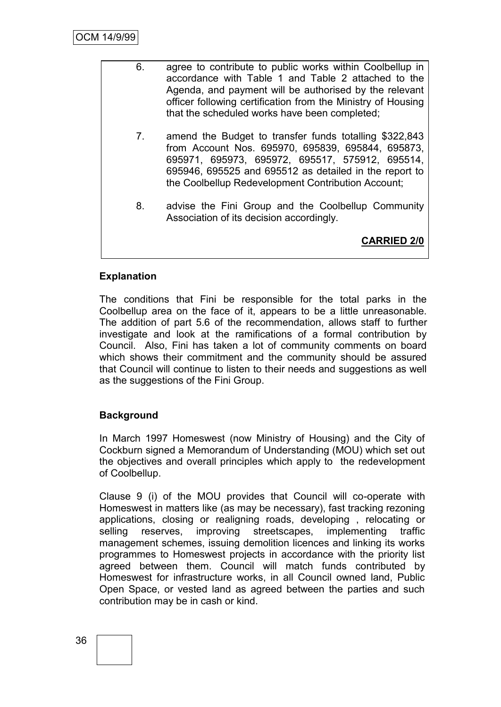- 6. agree to contribute to public works within Coolbellup in accordance with Table 1 and Table 2 attached to the Agenda, and payment will be authorised by the relevant officer following certification from the Ministry of Housing that the scheduled works have been completed;
	- 7. amend the Budget to transfer funds totalling \$322,843 from Account Nos. 695970, 695839, 695844, 695873, 695971, 695973, 695972, 695517, 575912, 695514, 695946, 695525 and 695512 as detailed in the report to the Coolbellup Redevelopment Contribution Account;
	- 8. advise the Fini Group and the Coolbellup Community Association of its decision accordingly.

**CARRIED 2/0**

# **Explanation**

The conditions that Fini be responsible for the total parks in the Coolbellup area on the face of it, appears to be a little unreasonable. The addition of part 5.6 of the recommendation, allows staff to further investigate and look at the ramifications of a formal contribution by Council. Also, Fini has taken a lot of community comments on board which shows their commitment and the community should be assured that Council will continue to listen to their needs and suggestions as well as the suggestions of the Fini Group.

# **Background**

In March 1997 Homeswest (now Ministry of Housing) and the City of Cockburn signed a Memorandum of Understanding (MOU) which set out the objectives and overall principles which apply to the redevelopment of Coolbellup.

Clause 9 (i) of the MOU provides that Council will co-operate with Homeswest in matters like (as may be necessary), fast tracking rezoning applications, closing or realigning roads, developing , relocating or selling reserves, improving streetscapes, implementing traffic management schemes, issuing demolition licences and linking its works programmes to Homeswest projects in accordance with the priority list agreed between them. Council will match funds contributed by Homeswest for infrastructure works, in all Council owned land, Public Open Space, or vested land as agreed between the parties and such contribution may be in cash or kind.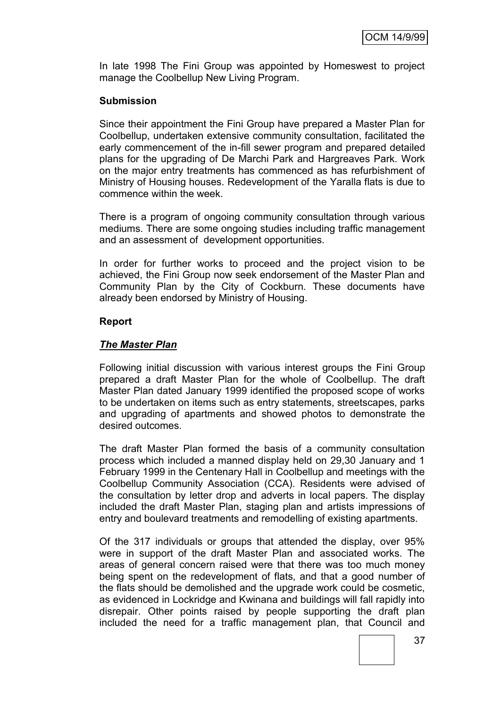In late 1998 The Fini Group was appointed by Homeswest to project manage the Coolbellup New Living Program.

### **Submission**

Since their appointment the Fini Group have prepared a Master Plan for Coolbellup, undertaken extensive community consultation, facilitated the early commencement of the in-fill sewer program and prepared detailed plans for the upgrading of De Marchi Park and Hargreaves Park. Work on the major entry treatments has commenced as has refurbishment of Ministry of Housing houses. Redevelopment of the Yaralla flats is due to commence within the week.

There is a program of ongoing community consultation through various mediums. There are some ongoing studies including traffic management and an assessment of development opportunities.

In order for further works to proceed and the project vision to be achieved, the Fini Group now seek endorsement of the Master Plan and Community Plan by the City of Cockburn. These documents have already been endorsed by Ministry of Housing.

#### **Report**

#### *The Master Plan*

Following initial discussion with various interest groups the Fini Group prepared a draft Master Plan for the whole of Coolbellup. The draft Master Plan dated January 1999 identified the proposed scope of works to be undertaken on items such as entry statements, streetscapes, parks and upgrading of apartments and showed photos to demonstrate the desired outcomes.

The draft Master Plan formed the basis of a community consultation process which included a manned display held on 29,30 January and 1 February 1999 in the Centenary Hall in Coolbellup and meetings with the Coolbellup Community Association (CCA). Residents were advised of the consultation by letter drop and adverts in local papers. The display included the draft Master Plan, staging plan and artists impressions of entry and boulevard treatments and remodelling of existing apartments.

Of the 317 individuals or groups that attended the display, over 95% were in support of the draft Master Plan and associated works. The areas of general concern raised were that there was too much money being spent on the redevelopment of flats, and that a good number of the flats should be demolished and the upgrade work could be cosmetic, as evidenced in Lockridge and Kwinana and buildings will fall rapidly into disrepair. Other points raised by people supporting the draft plan included the need for a traffic management plan, that Council and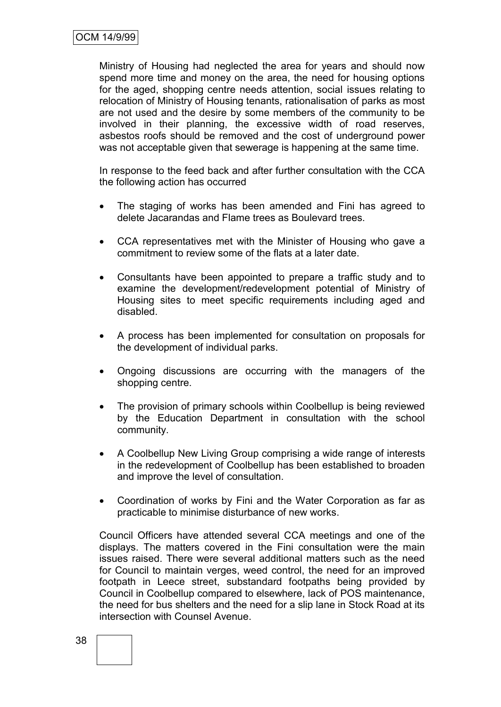Ministry of Housing had neglected the area for years and should now spend more time and money on the area, the need for housing options for the aged, shopping centre needs attention, social issues relating to relocation of Ministry of Housing tenants, rationalisation of parks as most are not used and the desire by some members of the community to be involved in their planning, the excessive width of road reserves, asbestos roofs should be removed and the cost of underground power was not acceptable given that sewerage is happening at the same time.

In response to the feed back and after further consultation with the CCA the following action has occurred

- The staging of works has been amended and Fini has agreed to delete Jacarandas and Flame trees as Boulevard trees.
- CCA representatives met with the Minister of Housing who gave a commitment to review some of the flats at a later date.
- Consultants have been appointed to prepare a traffic study and to examine the development/redevelopment potential of Ministry of Housing sites to meet specific requirements including aged and disabled.
- A process has been implemented for consultation on proposals for the development of individual parks.
- Ongoing discussions are occurring with the managers of the shopping centre.
- The provision of primary schools within Coolbellup is being reviewed by the Education Department in consultation with the school community.
- A Coolbellup New Living Group comprising a wide range of interests in the redevelopment of Coolbellup has been established to broaden and improve the level of consultation.
- Coordination of works by Fini and the Water Corporation as far as practicable to minimise disturbance of new works.

Council Officers have attended several CCA meetings and one of the displays. The matters covered in the Fini consultation were the main issues raised. There were several additional matters such as the need for Council to maintain verges, weed control, the need for an improved footpath in Leece street, substandard footpaths being provided by Council in Coolbellup compared to elsewhere, lack of POS maintenance, the need for bus shelters and the need for a slip lane in Stock Road at its intersection with Counsel Avenue.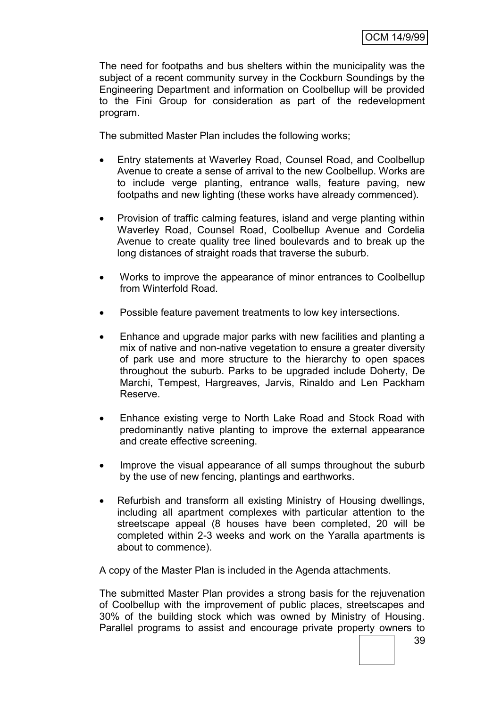The need for footpaths and bus shelters within the municipality was the subject of a recent community survey in the Cockburn Soundings by the Engineering Department and information on Coolbellup will be provided to the Fini Group for consideration as part of the redevelopment program.

The submitted Master Plan includes the following works;

- Entry statements at Waverley Road, Counsel Road, and Coolbellup Avenue to create a sense of arrival to the new Coolbellup. Works are to include verge planting, entrance walls, feature paving, new footpaths and new lighting (these works have already commenced).
- Provision of traffic calming features, island and verge planting within Waverley Road, Counsel Road, Coolbellup Avenue and Cordelia Avenue to create quality tree lined boulevards and to break up the long distances of straight roads that traverse the suburb.
- Works to improve the appearance of minor entrances to Coolbellup from Winterfold Road.
- Possible feature pavement treatments to low key intersections.
- Enhance and upgrade major parks with new facilities and planting a mix of native and non-native vegetation to ensure a greater diversity of park use and more structure to the hierarchy to open spaces throughout the suburb. Parks to be upgraded include Doherty, De Marchi, Tempest, Hargreaves, Jarvis, Rinaldo and Len Packham Reserve.
- Enhance existing verge to North Lake Road and Stock Road with predominantly native planting to improve the external appearance and create effective screening.
- Improve the visual appearance of all sumps throughout the suburb by the use of new fencing, plantings and earthworks.
- Refurbish and transform all existing Ministry of Housing dwellings, including all apartment complexes with particular attention to the streetscape appeal (8 houses have been completed, 20 will be completed within 2-3 weeks and work on the Yaralla apartments is about to commence).

A copy of the Master Plan is included in the Agenda attachments.

The submitted Master Plan provides a strong basis for the rejuvenation of Coolbellup with the improvement of public places, streetscapes and 30% of the building stock which was owned by Ministry of Housing. Parallel programs to assist and encourage private property owners to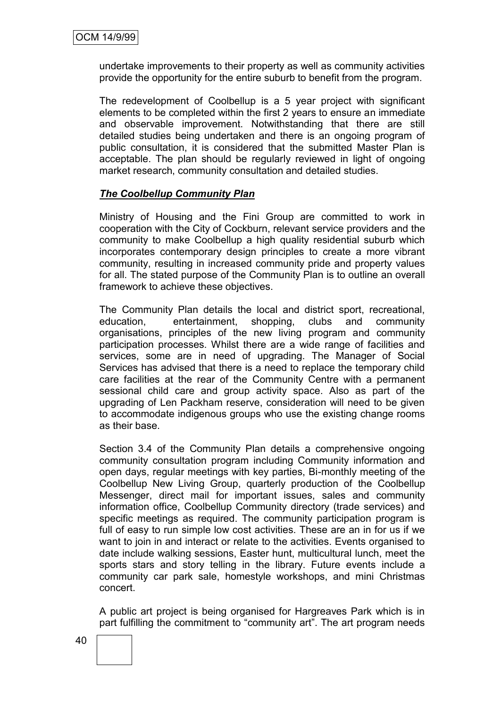undertake improvements to their property as well as community activities provide the opportunity for the entire suburb to benefit from the program.

The redevelopment of Coolbellup is a 5 year project with significant elements to be completed within the first 2 years to ensure an immediate and observable improvement. Notwithstanding that there are still detailed studies being undertaken and there is an ongoing program of public consultation, it is considered that the submitted Master Plan is acceptable. The plan should be regularly reviewed in light of ongoing market research, community consultation and detailed studies.

### *The Coolbellup Community Plan*

Ministry of Housing and the Fini Group are committed to work in cooperation with the City of Cockburn, relevant service providers and the community to make Coolbellup a high quality residential suburb which incorporates contemporary design principles to create a more vibrant community, resulting in increased community pride and property values for all. The stated purpose of the Community Plan is to outline an overall framework to achieve these objectives.

The Community Plan details the local and district sport, recreational, education, entertainment, shopping, clubs and community organisations, principles of the new living program and community participation processes. Whilst there are a wide range of facilities and services, some are in need of upgrading. The Manager of Social Services has advised that there is a need to replace the temporary child care facilities at the rear of the Community Centre with a permanent sessional child care and group activity space. Also as part of the upgrading of Len Packham reserve, consideration will need to be given to accommodate indigenous groups who use the existing change rooms as their base.

Section 3.4 of the Community Plan details a comprehensive ongoing community consultation program including Community information and open days, regular meetings with key parties, Bi-monthly meeting of the Coolbellup New Living Group, quarterly production of the Coolbellup Messenger, direct mail for important issues, sales and community information office, Coolbellup Community directory (trade services) and specific meetings as required. The community participation program is full of easy to run simple low cost activities. These are an in for us if we want to join in and interact or relate to the activities. Events organised to date include walking sessions, Easter hunt, multicultural lunch, meet the sports stars and story telling in the library. Future events include a community car park sale, homestyle workshops, and mini Christmas concert.

A public art project is being organised for Hargreaves Park which is in part fulfilling the commitment to "community art". The art program needs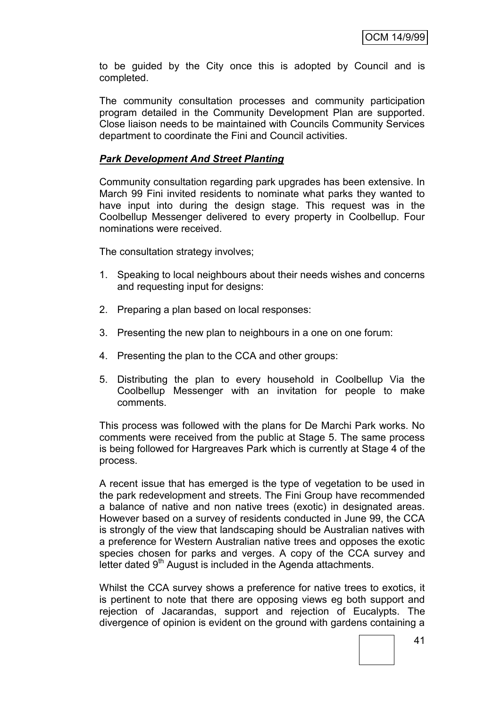to be guided by the City once this is adopted by Council and is completed.

The community consultation processes and community participation program detailed in the Community Development Plan are supported. Close liaison needs to be maintained with Councils Community Services department to coordinate the Fini and Council activities.

### *Park Development And Street Planting*

Community consultation regarding park upgrades has been extensive. In March 99 Fini invited residents to nominate what parks they wanted to have input into during the design stage. This request was in the Coolbellup Messenger delivered to every property in Coolbellup. Four nominations were received.

The consultation strategy involves;

- 1. Speaking to local neighbours about their needs wishes and concerns and requesting input for designs:
- 2. Preparing a plan based on local responses:
- 3. Presenting the new plan to neighbours in a one on one forum:
- 4. Presenting the plan to the CCA and other groups:
- 5. Distributing the plan to every household in Coolbellup Via the Coolbellup Messenger with an invitation for people to make comments.

This process was followed with the plans for De Marchi Park works. No comments were received from the public at Stage 5. The same process is being followed for Hargreaves Park which is currently at Stage 4 of the process.

A recent issue that has emerged is the type of vegetation to be used in the park redevelopment and streets. The Fini Group have recommended a balance of native and non native trees (exotic) in designated areas. However based on a survey of residents conducted in June 99, the CCA is strongly of the view that landscaping should be Australian natives with a preference for Western Australian native trees and opposes the exotic species chosen for parks and verges. A copy of the CCA survey and letter dated 9<sup>th</sup> August is included in the Agenda attachments.

Whilst the CCA survey shows a preference for native trees to exotics, it is pertinent to note that there are opposing views eg both support and rejection of Jacarandas, support and rejection of Eucalypts. The divergence of opinion is evident on the ground with gardens containing a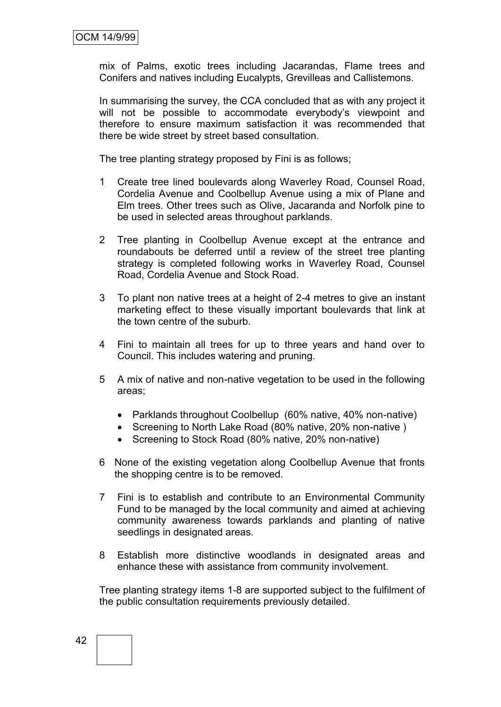mix of Palms, exotic trees including Jacarandas, Flame trees and Conifers and natives including Eucalypts, Grevilleas and Callistemons.

In summarising the survey, the CCA concluded that as with any project it will not be possible to accommodate everybody's viewpoint and therefore to ensure maximum satisfaction it was recommended that there be wide street by street based consultation.

The tree planting strategy proposed by Fini is as follows;

- 1 Create tree lined boulevards along Waverley Road, Counsel Road, Cordelia Avenue and Coolbellup Avenue using a mix of Plane and Elm trees. Other trees such as Olive, Jacaranda and Norfolk pine to be used in selected areas throughout parklands.
- 2 Tree planting in Coolbellup Avenue except at the entrance and roundabouts be deferred until a review of the street tree planting strategy is completed following works in Waverley Road, Counsel Road, Cordelia Avenue and Stock Road.
- 3 To plant non native trees at a height of 2-4 metres to give an instant marketing effect to these visually important boulevards that link at the town centre of the suburb.
- 4 Fini to maintain all trees for up to three years and hand over to Council. This includes watering and pruning.
- 5 A mix of native and non-native vegetation to be used in the following areas;
	- Parklands throughout Coolbellup (60% native, 40% non-native)
	- Screening to North Lake Road (80% native, 20% non-native)
	- Screening to Stock Road (80% native, 20% non-native)
- 6 None of the existing vegetation along Coolbellup Avenue that fronts the shopping centre is to be removed.
- 7 Fini is to establish and contribute to an Environmental Community Fund to be managed by the local community and aimed at achieving community awareness towards parklands and planting of native seedlings in designated areas.
- 8 Establish more distinctive woodlands in designated areas and enhance these with assistance from community involvement.

Tree planting strategy items 1-8 are supported subject to the fulfilment of the public consultation requirements previously detailed.

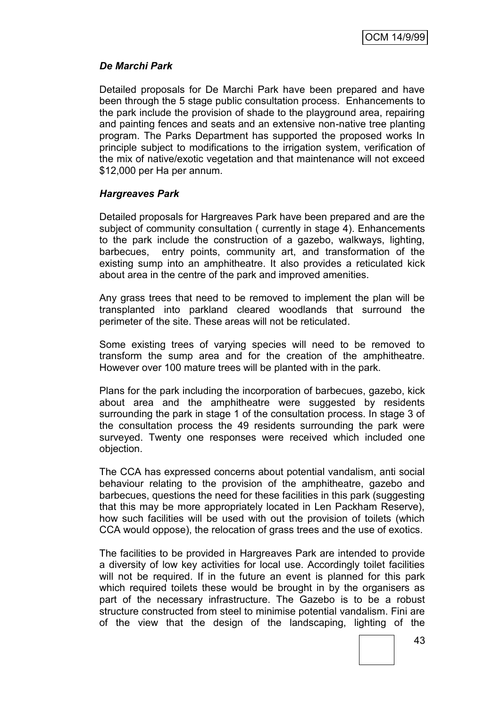## *De Marchi Park*

Detailed proposals for De Marchi Park have been prepared and have been through the 5 stage public consultation process. Enhancements to the park include the provision of shade to the playground area, repairing and painting fences and seats and an extensive non-native tree planting program. The Parks Department has supported the proposed works In principle subject to modifications to the irrigation system, verification of the mix of native/exotic vegetation and that maintenance will not exceed \$12,000 per Ha per annum.

### *Hargreaves Park*

Detailed proposals for Hargreaves Park have been prepared and are the subject of community consultation ( currently in stage 4). Enhancements to the park include the construction of a gazebo, walkways, lighting, barbecues, entry points, community art, and transformation of the existing sump into an amphitheatre. It also provides a reticulated kick about area in the centre of the park and improved amenities.

Any grass trees that need to be removed to implement the plan will be transplanted into parkland cleared woodlands that surround the perimeter of the site. These areas will not be reticulated.

Some existing trees of varying species will need to be removed to transform the sump area and for the creation of the amphitheatre. However over 100 mature trees will be planted with in the park.

Plans for the park including the incorporation of barbecues, gazebo, kick about area and the amphitheatre were suggested by residents surrounding the park in stage 1 of the consultation process. In stage 3 of the consultation process the 49 residents surrounding the park were surveyed. Twenty one responses were received which included one objection.

The CCA has expressed concerns about potential vandalism, anti social behaviour relating to the provision of the amphitheatre, gazebo and barbecues, questions the need for these facilities in this park (suggesting that this may be more appropriately located in Len Packham Reserve), how such facilities will be used with out the provision of toilets (which CCA would oppose), the relocation of grass trees and the use of exotics.

The facilities to be provided in Hargreaves Park are intended to provide a diversity of low key activities for local use. Accordingly toilet facilities will not be required. If in the future an event is planned for this park which required toilets these would be brought in by the organisers as part of the necessary infrastructure. The Gazebo is to be a robust structure constructed from steel to minimise potential vandalism. Fini are of the view that the design of the landscaping, lighting of the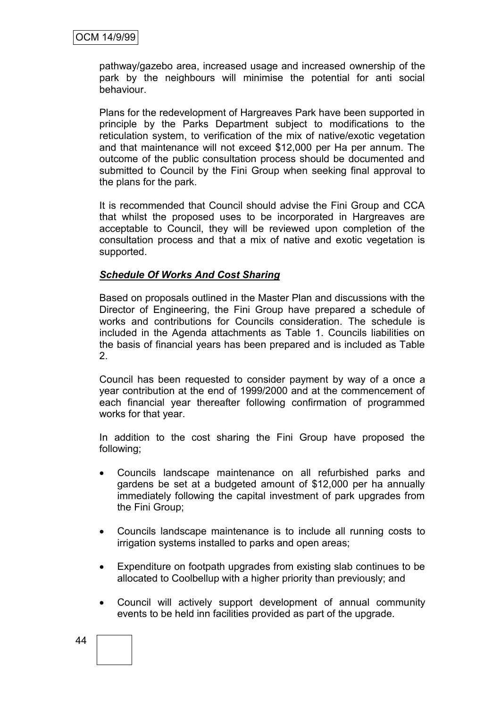pathway/gazebo area, increased usage and increased ownership of the park by the neighbours will minimise the potential for anti social behaviour.

Plans for the redevelopment of Hargreaves Park have been supported in principle by the Parks Department subject to modifications to the reticulation system, to verification of the mix of native/exotic vegetation and that maintenance will not exceed \$12,000 per Ha per annum. The outcome of the public consultation process should be documented and submitted to Council by the Fini Group when seeking final approval to the plans for the park.

It is recommended that Council should advise the Fini Group and CCA that whilst the proposed uses to be incorporated in Hargreaves are acceptable to Council, they will be reviewed upon completion of the consultation process and that a mix of native and exotic vegetation is supported.

### *Schedule Of Works And Cost Sharing*

Based on proposals outlined in the Master Plan and discussions with the Director of Engineering, the Fini Group have prepared a schedule of works and contributions for Councils consideration. The schedule is included in the Agenda attachments as Table 1. Councils liabilities on the basis of financial years has been prepared and is included as Table 2.

Council has been requested to consider payment by way of a once a year contribution at the end of 1999/2000 and at the commencement of each financial year thereafter following confirmation of programmed works for that year.

In addition to the cost sharing the Fini Group have proposed the following;

- Councils landscape maintenance on all refurbished parks and gardens be set at a budgeted amount of \$12,000 per ha annually immediately following the capital investment of park upgrades from the Fini Group;
- Councils landscape maintenance is to include all running costs to irrigation systems installed to parks and open areas;
- Expenditure on footpath upgrades from existing slab continues to be allocated to Coolbellup with a higher priority than previously; and
- Council will actively support development of annual community events to be held inn facilities provided as part of the upgrade.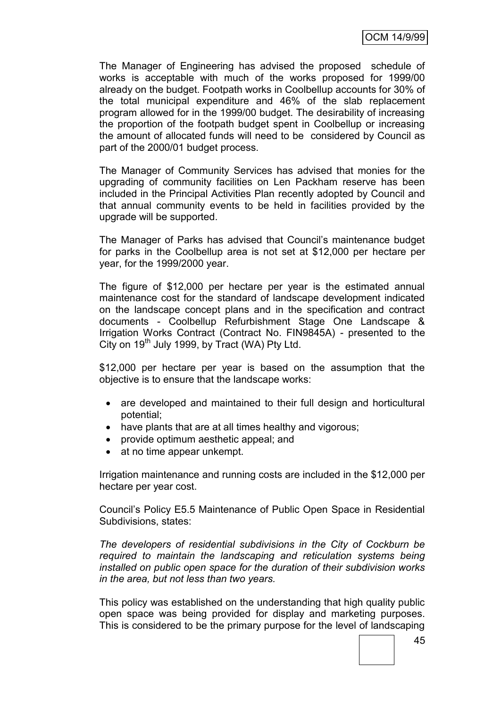The Manager of Engineering has advised the proposed schedule of works is acceptable with much of the works proposed for 1999/00 already on the budget. Footpath works in Coolbellup accounts for 30% of the total municipal expenditure and 46% of the slab replacement program allowed for in the 1999/00 budget. The desirability of increasing the proportion of the footpath budget spent in Coolbellup or increasing the amount of allocated funds will need to be considered by Council as part of the 2000/01 budget process.

The Manager of Community Services has advised that monies for the upgrading of community facilities on Len Packham reserve has been included in the Principal Activities Plan recently adopted by Council and that annual community events to be held in facilities provided by the upgrade will be supported.

The Manager of Parks has advised that Council"s maintenance budget for parks in the Coolbellup area is not set at \$12,000 per hectare per year, for the 1999/2000 year.

The figure of \$12,000 per hectare per year is the estimated annual maintenance cost for the standard of landscape development indicated on the landscape concept plans and in the specification and contract documents - Coolbellup Refurbishment Stage One Landscape & Irrigation Works Contract (Contract No. FIN9845A) - presented to the City on  $19^{th}$  July 1999, by Tract (WA) Pty Ltd.

\$12,000 per hectare per year is based on the assumption that the objective is to ensure that the landscape works:

- are developed and maintained to their full design and horticultural potential;
- have plants that are at all times healthy and vigorous;
- provide optimum aesthetic appeal; and
- at no time appear unkempt.

Irrigation maintenance and running costs are included in the \$12,000 per hectare per year cost.

Council"s Policy E5.5 Maintenance of Public Open Space in Residential Subdivisions, states:

*The developers of residential subdivisions in the City of Cockburn be required to maintain the landscaping and reticulation systems being installed on public open space for the duration of their subdivision works in the area, but not less than two years.*

This policy was established on the understanding that high quality public open space was being provided for display and marketing purposes. This is considered to be the primary purpose for the level of landscaping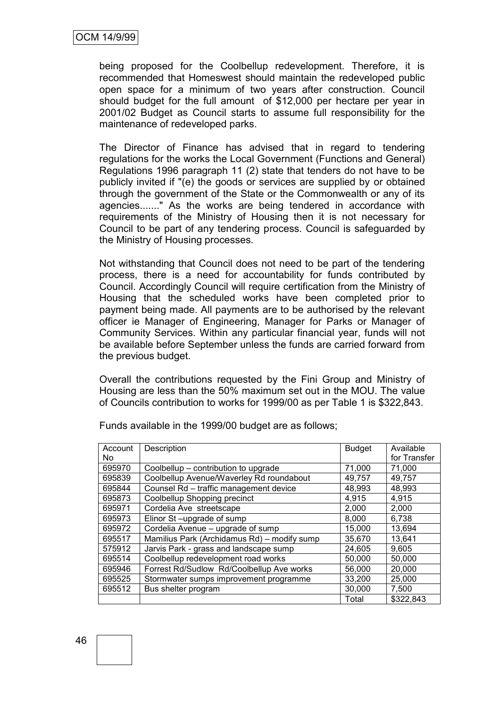being proposed for the Coolbellup redevelopment. Therefore, it is recommended that Homeswest should maintain the redeveloped public open space for a minimum of two years after construction. Council should budget for the full amount of \$12,000 per hectare per year in 2001/02 Budget as Council starts to assume full responsibility for the maintenance of redeveloped parks.

The Director of Finance has advised that in regard to tendering regulations for the works the Local Government (Functions and General) Regulations 1996 paragraph 11 (2) state that tenders do not have to be publicly invited if "(e) the goods or services are supplied by or obtained through the government of the State or the Commonwealth or any of its agencies......." As the works are being tendered in accordance with requirements of the Ministry of Housing then it is not necessary for Council to be part of any tendering process. Council is safeguarded by the Ministry of Housing processes.

Not withstanding that Council does not need to be part of the tendering process, there is a need for accountability for funds contributed by Council. Accordingly Council will require certification from the Ministry of Housing that the scheduled works have been completed prior to payment being made. All payments are to be authorised by the relevant officer ie Manager of Engineering, Manager for Parks or Manager of Community Services. Within any particular financial year, funds will not be available before September unless the funds are carried forward from the previous budget.

Overall the contributions requested by the Fini Group and Ministry of Housing are less than the 50% maximum set out in the MOU. The value of Councils contribution to works for 1999/00 as per Table 1 is \$322,843.

| Account | Description                                 | <b>Budget</b> | Available    |
|---------|---------------------------------------------|---------------|--------------|
| No.     |                                             |               | for Transfer |
| 695970  | Coolbellup – contribution to upgrade        | 71,000        | 71,000       |
| 695839  | Coolbellup Avenue/Waverley Rd roundabout    | 49,757        | 49,757       |
| 695844  | Counsel Rd - traffic management device      | 48,993        | 48,993       |
| 695873  | Coolbellup Shopping precinct                | 4,915         | 4,915        |
| 695971  | Cordelia Ave streetscape                    | 2,000         | 2,000        |
| 695973  | Elinor St-upgrade of sump                   | 8,000         | 6,738        |
| 695972  | Cordelia Avenue - upgrade of sump           | 15,000        | 13,694       |
| 695517  | Mamilius Park (Archidamus Rd) - modify sump | 35,670        | 13,641       |
| 575912  | Jarvis Park - grass and landscape sump      | 24,605        | 9,605        |
| 695514  | Coolbellup redevelopment road works         | 50,000        | 50,000       |
| 695946  | Forrest Rd/Sudlow Rd/Coolbellup Ave works   | 56,000        | 20,000       |
| 695525  | Stormwater sumps improvement programme      | 33,200        | 25,000       |
| 695512  | Bus shelter program                         | 30,000        | 7,500        |
|         |                                             | Total         | \$322,843    |

Funds available in the 1999/00 budget are as follows;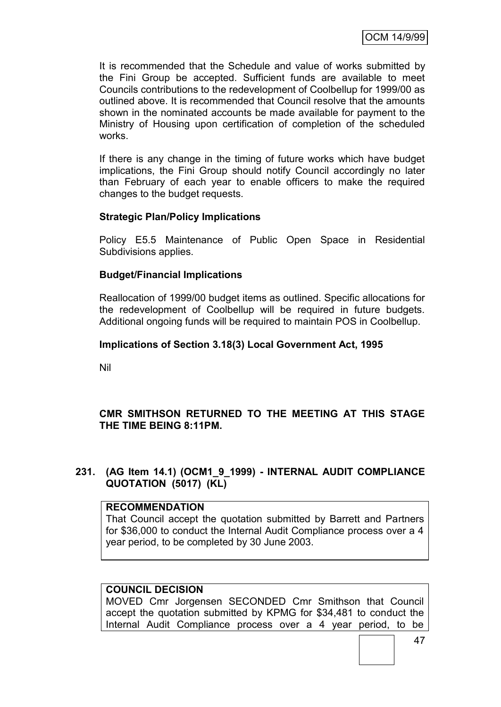It is recommended that the Schedule and value of works submitted by the Fini Group be accepted. Sufficient funds are available to meet Councils contributions to the redevelopment of Coolbellup for 1999/00 as outlined above. It is recommended that Council resolve that the amounts shown in the nominated accounts be made available for payment to the Ministry of Housing upon certification of completion of the scheduled works.

If there is any change in the timing of future works which have budget implications, the Fini Group should notify Council accordingly no later than February of each year to enable officers to make the required changes to the budget requests.

## **Strategic Plan/Policy Implications**

Policy E5.5 Maintenance of Public Open Space in Residential Subdivisions applies.

### **Budget/Financial Implications**

Reallocation of 1999/00 budget items as outlined. Specific allocations for the redevelopment of Coolbellup will be required in future budgets. Additional ongoing funds will be required to maintain POS in Coolbellup.

### **Implications of Section 3.18(3) Local Government Act, 1995**

Nil

# **CMR SMITHSON RETURNED TO THE MEETING AT THIS STAGE THE TIME BEING 8:11PM.**

### **231. (AG Item 14.1) (OCM1\_9\_1999) - INTERNAL AUDIT COMPLIANCE QUOTATION (5017) (KL)**

#### **RECOMMENDATION**

That Council accept the quotation submitted by Barrett and Partners for \$36,000 to conduct the Internal Audit Compliance process over a 4 year period, to be completed by 30 June 2003.

## **COUNCIL DECISION**

MOVED Cmr Jorgensen SECONDED Cmr Smithson that Council accept the quotation submitted by KPMG for \$34,481 to conduct the Internal Audit Compliance process over a 4 year period, to be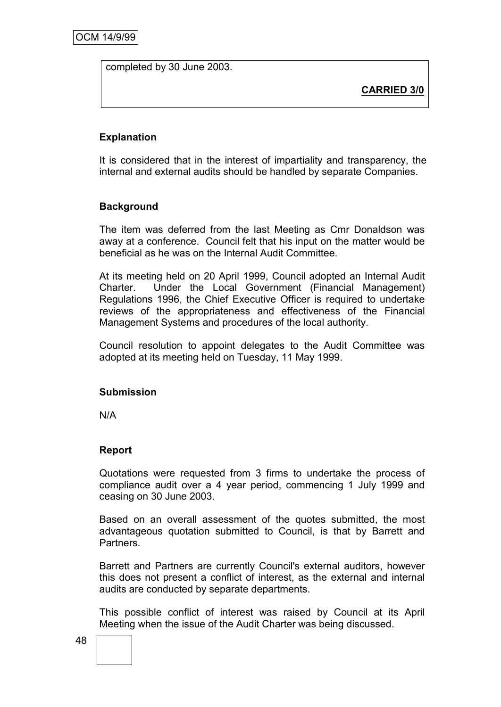completed by 30 June 2003.

**CARRIED 3/0**

## **Explanation**

It is considered that in the interest of impartiality and transparency, the internal and external audits should be handled by separate Companies.

### **Background**

The item was deferred from the last Meeting as Cmr Donaldson was away at a conference. Council felt that his input on the matter would be beneficial as he was on the Internal Audit Committee.

At its meeting held on 20 April 1999, Council adopted an Internal Audit Charter. Under the Local Government (Financial Management) Regulations 1996, the Chief Executive Officer is required to undertake reviews of the appropriateness and effectiveness of the Financial Management Systems and procedures of the local authority.

Council resolution to appoint delegates to the Audit Committee was adopted at its meeting held on Tuesday, 11 May 1999.

#### **Submission**

N/A

### **Report**

Quotations were requested from 3 firms to undertake the process of compliance audit over a 4 year period, commencing 1 July 1999 and ceasing on 30 June 2003.

Based on an overall assessment of the quotes submitted, the most advantageous quotation submitted to Council, is that by Barrett and Partners.

Barrett and Partners are currently Council's external auditors, however this does not present a conflict of interest, as the external and internal audits are conducted by separate departments.

This possible conflict of interest was raised by Council at its April Meeting when the issue of the Audit Charter was being discussed.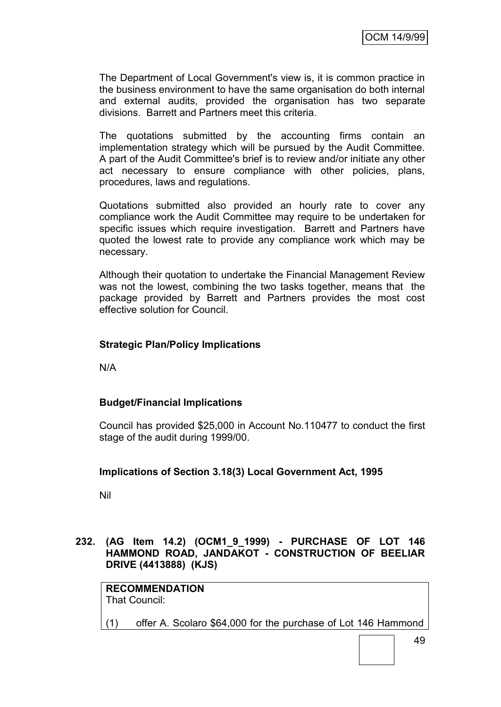The Department of Local Government's view is, it is common practice in the business environment to have the same organisation do both internal and external audits, provided the organisation has two separate divisions. Barrett and Partners meet this criteria.

The quotations submitted by the accounting firms contain an implementation strategy which will be pursued by the Audit Committee. A part of the Audit Committee's brief is to review and/or initiate any other act necessary to ensure compliance with other policies, plans, procedures, laws and regulations.

Quotations submitted also provided an hourly rate to cover any compliance work the Audit Committee may require to be undertaken for specific issues which require investigation. Barrett and Partners have quoted the lowest rate to provide any compliance work which may be necessary.

Although their quotation to undertake the Financial Management Review was not the lowest, combining the two tasks together, means that the package provided by Barrett and Partners provides the most cost effective solution for Council.

## **Strategic Plan/Policy Implications**

N/A

### **Budget/Financial Implications**

Council has provided \$25,000 in Account No.110477 to conduct the first stage of the audit during 1999/00.

### **Implications of Section 3.18(3) Local Government Act, 1995**

Nil

**232. (AG Item 14.2) (OCM1\_9\_1999) - PURCHASE OF LOT 146 HAMMOND ROAD, JANDAKOT - CONSTRUCTION OF BEELIAR DRIVE (4413888) (KJS)**

**RECOMMENDATION** That Council:

(1) offer A. Scolaro \$64,000 for the purchase of Lot 146 Hammond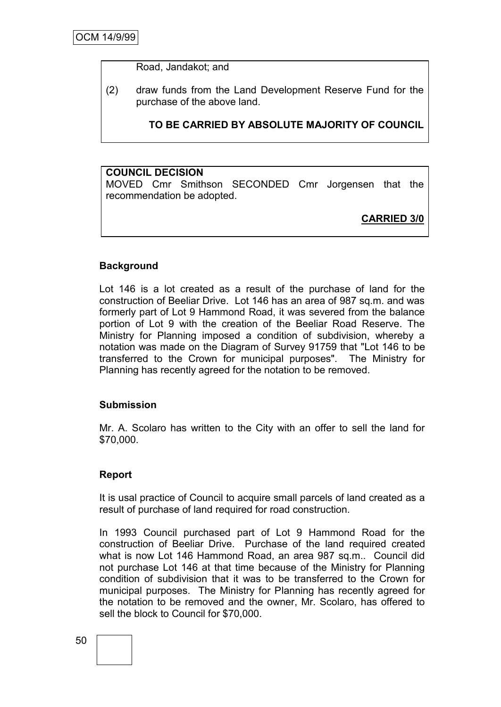Road, Jandakot; and

(2) draw funds from the Land Development Reserve Fund for the purchase of the above land.

**TO BE CARRIED BY ABSOLUTE MAJORITY OF COUNCIL**

### **COUNCIL DECISION**

MOVED Cmr Smithson SECONDED Cmr Jorgensen that the recommendation be adopted.

**CARRIED 3/0**

#### **Background**

Lot 146 is a lot created as a result of the purchase of land for the construction of Beeliar Drive. Lot 146 has an area of 987 sq.m. and was formerly part of Lot 9 Hammond Road, it was severed from the balance portion of Lot 9 with the creation of the Beeliar Road Reserve. The Ministry for Planning imposed a condition of subdivision, whereby a notation was made on the Diagram of Survey 91759 that "Lot 146 to be transferred to the Crown for municipal purposes". The Ministry for Planning has recently agreed for the notation to be removed.

#### **Submission**

Mr. A. Scolaro has written to the City with an offer to sell the land for \$70,000.

#### **Report**

It is usal practice of Council to acquire small parcels of land created as a result of purchase of land required for road construction.

In 1993 Council purchased part of Lot 9 Hammond Road for the construction of Beeliar Drive. Purchase of the land required created what is now Lot 146 Hammond Road, an area 987 sq.m.. Council did not purchase Lot 146 at that time because of the Ministry for Planning condition of subdivision that it was to be transferred to the Crown for municipal purposes. The Ministry for Planning has recently agreed for the notation to be removed and the owner, Mr. Scolaro, has offered to sell the block to Council for \$70,000.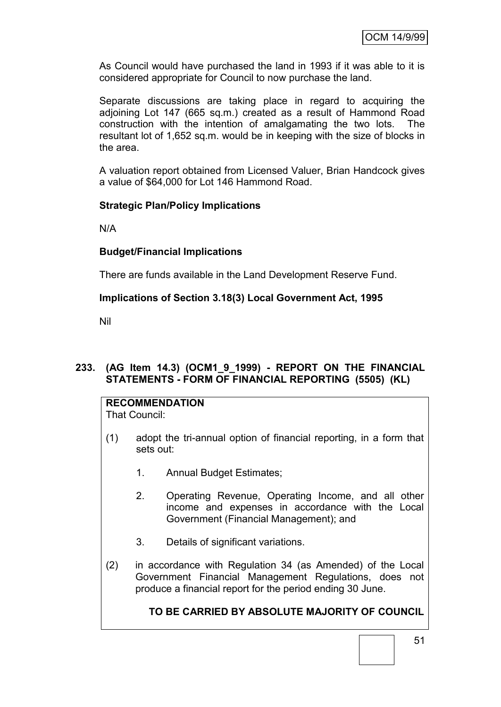As Council would have purchased the land in 1993 if it was able to it is considered appropriate for Council to now purchase the land.

Separate discussions are taking place in regard to acquiring the adjoining Lot 147 (665 sq.m.) created as a result of Hammond Road construction with the intention of amalgamating the two lots. The resultant lot of 1,652 sq.m. would be in keeping with the size of blocks in the area.

A valuation report obtained from Licensed Valuer, Brian Handcock gives a value of \$64,000 for Lot 146 Hammond Road.

### **Strategic Plan/Policy Implications**

N/A

### **Budget/Financial Implications**

There are funds available in the Land Development Reserve Fund.

### **Implications of Section 3.18(3) Local Government Act, 1995**

Nil

### **233. (AG Item 14.3) (OCM1\_9\_1999) - REPORT ON THE FINANCIAL STATEMENTS - FORM OF FINANCIAL REPORTING (5505) (KL)**

#### **RECOMMENDATION** That Council:

- (1) adopt the tri-annual option of financial reporting, in a form that sets out:
	- 1. Annual Budget Estimates;
	- 2. Operating Revenue, Operating Income, and all other income and expenses in accordance with the Local Government (Financial Management); and
	- 3. Details of significant variations.
- (2) in accordance with Regulation 34 (as Amended) of the Local Government Financial Management Regulations, does not produce a financial report for the period ending 30 June.

# **TO BE CARRIED BY ABSOLUTE MAJORITY OF COUNCIL**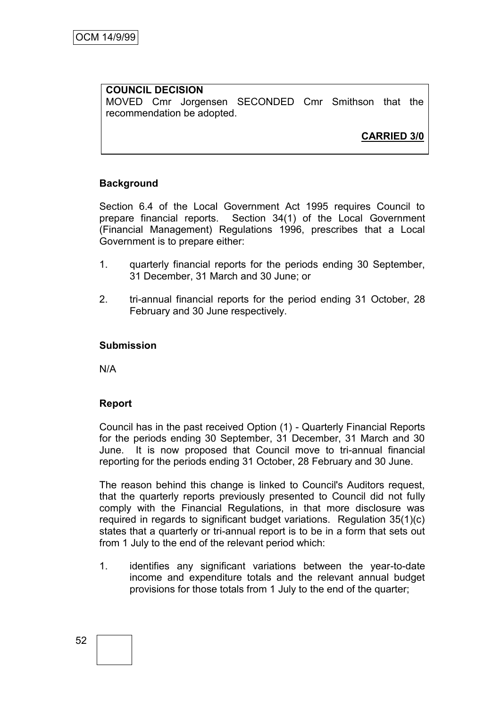#### **COUNCIL DECISION** MOVED Cmr Jorgensen SECONDED Cmr Smithson that the recommendation be adopted.

# **CARRIED 3/0**

## **Background**

Section 6.4 of the Local Government Act 1995 requires Council to prepare financial reports. Section 34(1) of the Local Government (Financial Management) Regulations 1996, prescribes that a Local Government is to prepare either:

- 1. quarterly financial reports for the periods ending 30 September, 31 December, 31 March and 30 June; or
- 2. tri-annual financial reports for the period ending 31 October, 28 February and 30 June respectively.

#### **Submission**

N/A

### **Report**

Council has in the past received Option (1) - Quarterly Financial Reports for the periods ending 30 September, 31 December, 31 March and 30 June. It is now proposed that Council move to tri-annual financial reporting for the periods ending 31 October, 28 February and 30 June.

The reason behind this change is linked to Council's Auditors request, that the quarterly reports previously presented to Council did not fully comply with the Financial Regulations, in that more disclosure was required in regards to significant budget variations. Regulation 35(1)(c) states that a quarterly or tri-annual report is to be in a form that sets out from 1 July to the end of the relevant period which:

1. identifies any significant variations between the year-to-date income and expenditure totals and the relevant annual budget provisions for those totals from 1 July to the end of the quarter;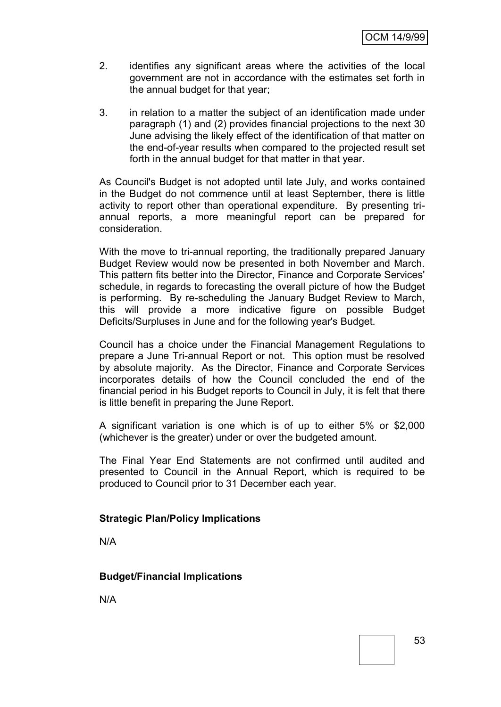- 2. identifies any significant areas where the activities of the local government are not in accordance with the estimates set forth in the annual budget for that year;
- 3. in relation to a matter the subject of an identification made under paragraph (1) and (2) provides financial projections to the next 30 June advising the likely effect of the identification of that matter on the end-of-year results when compared to the projected result set forth in the annual budget for that matter in that year.

As Council's Budget is not adopted until late July, and works contained in the Budget do not commence until at least September, there is little activity to report other than operational expenditure. By presenting triannual reports, a more meaningful report can be prepared for consideration.

With the move to tri-annual reporting, the traditionally prepared January Budget Review would now be presented in both November and March. This pattern fits better into the Director, Finance and Corporate Services' schedule, in regards to forecasting the overall picture of how the Budget is performing. By re-scheduling the January Budget Review to March, this will provide a more indicative figure on possible Budget Deficits/Surpluses in June and for the following year's Budget.

Council has a choice under the Financial Management Regulations to prepare a June Tri-annual Report or not. This option must be resolved by absolute majority. As the Director, Finance and Corporate Services incorporates details of how the Council concluded the end of the financial period in his Budget reports to Council in July, it is felt that there is little benefit in preparing the June Report.

A significant variation is one which is of up to either 5% or \$2,000 (whichever is the greater) under or over the budgeted amount.

The Final Year End Statements are not confirmed until audited and presented to Council in the Annual Report, which is required to be produced to Council prior to 31 December each year.

### **Strategic Plan/Policy Implications**

N/A

# **Budget/Financial Implications**

N/A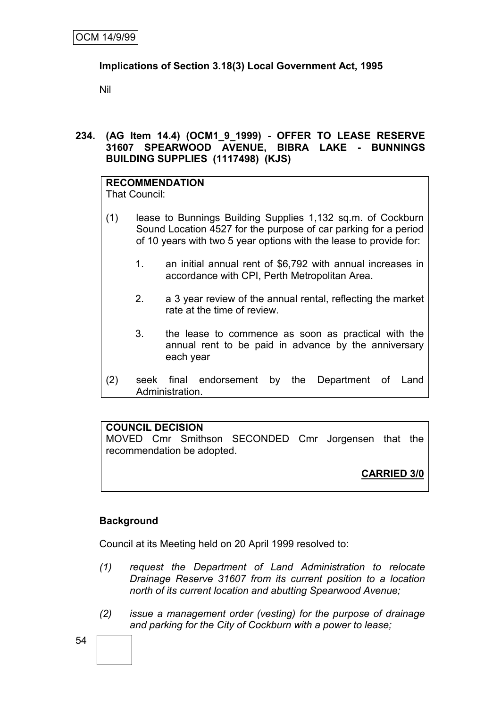## **Implications of Section 3.18(3) Local Government Act, 1995**

Nil

**234. (AG Item 14.4) (OCM1\_9\_1999) - OFFER TO LEASE RESERVE 31607 SPEARWOOD AVENUE, BIBRA LAKE - BUNNINGS BUILDING SUPPLIES (1117498) (KJS)**

#### **RECOMMENDATION** That Council:

- (1) lease to Bunnings Building Supplies 1,132 sq.m. of Cockburn Sound Location 4527 for the purpose of car parking for a period of 10 years with two 5 year options with the lease to provide for:
	- 1. an initial annual rent of \$6,792 with annual increases in accordance with CPI, Perth Metropolitan Area.
	- 2. a 3 year review of the annual rental, reflecting the market rate at the time of review.
	- 3. the lease to commence as soon as practical with the annual rent to be paid in advance by the anniversary each year
- (2) seek final endorsement by the Department of Land Administration.

# **COUNCIL DECISION**

MOVED Cmr Smithson SECONDED Cmr Jorgensen that the recommendation be adopted.

# **CARRIED 3/0**

# **Background**

Council at its Meeting held on 20 April 1999 resolved to:

- *(1) request the Department of Land Administration to relocate Drainage Reserve 31607 from its current position to a location north of its current location and abutting Spearwood Avenue;*
- *(2) issue a management order (vesting) for the purpose of drainage and parking for the City of Cockburn with a power to lease;*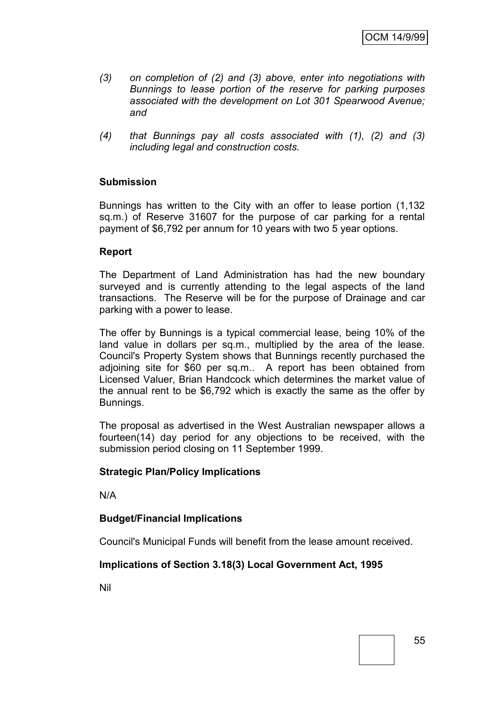- *(3) on completion of (2) and (3) above, enter into negotiations with Bunnings to lease portion of the reserve for parking purposes associated with the development on Lot 301 Spearwood Avenue; and*
- *(4) that Bunnings pay all costs associated with (1), (2) and (3) including legal and construction costs.*

## **Submission**

Bunnings has written to the City with an offer to lease portion (1,132 sq.m.) of Reserve 31607 for the purpose of car parking for a rental payment of \$6,792 per annum for 10 years with two 5 year options.

### **Report**

The Department of Land Administration has had the new boundary surveyed and is currently attending to the legal aspects of the land transactions. The Reserve will be for the purpose of Drainage and car parking with a power to lease.

The offer by Bunnings is a typical commercial lease, being 10% of the land value in dollars per sq.m., multiplied by the area of the lease. Council's Property System shows that Bunnings recently purchased the adjoining site for \$60 per sq.m.. A report has been obtained from Licensed Valuer, Brian Handcock which determines the market value of the annual rent to be \$6,792 which is exactly the same as the offer by Bunnings.

The proposal as advertised in the West Australian newspaper allows a fourteen(14) day period for any objections to be received, with the submission period closing on 11 September 1999.

#### **Strategic Plan/Policy Implications**

N/A

### **Budget/Financial Implications**

Council's Municipal Funds will benefit from the lease amount received.

### **Implications of Section 3.18(3) Local Government Act, 1995**

Nil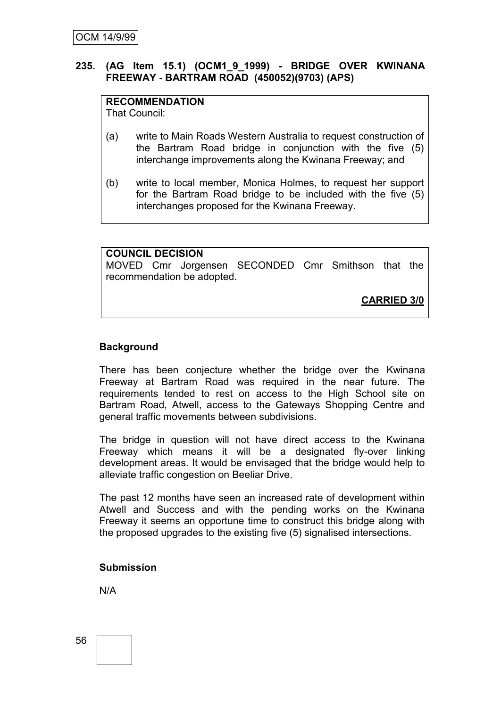## **235. (AG Item 15.1) (OCM1\_9\_1999) - BRIDGE OVER KWINANA FREEWAY - BARTRAM ROAD (450052)(9703) (APS)**

# **RECOMMENDATION**

That Council:

- (a) write to Main Roads Western Australia to request construction of the Bartram Road bridge in conjunction with the five (5) interchange improvements along the Kwinana Freeway; and
- (b) write to local member, Monica Holmes, to request her support for the Bartram Road bridge to be included with the five (5) interchanges proposed for the Kwinana Freeway.

## **COUNCIL DECISION**

MOVED Cmr Jorgensen SECONDED Cmr Smithson that the recommendation be adopted.

**CARRIED 3/0**

## **Background**

There has been conjecture whether the bridge over the Kwinana Freeway at Bartram Road was required in the near future. The requirements tended to rest on access to the High School site on Bartram Road, Atwell, access to the Gateways Shopping Centre and general traffic movements between subdivisions.

The bridge in question will not have direct access to the Kwinana Freeway which means it will be a designated fly-over linking development areas. It would be envisaged that the bridge would help to alleviate traffic congestion on Beeliar Drive.

The past 12 months have seen an increased rate of development within Atwell and Success and with the pending works on the Kwinana Freeway it seems an opportune time to construct this bridge along with the proposed upgrades to the existing five (5) signalised intersections.

### **Submission**

N/A

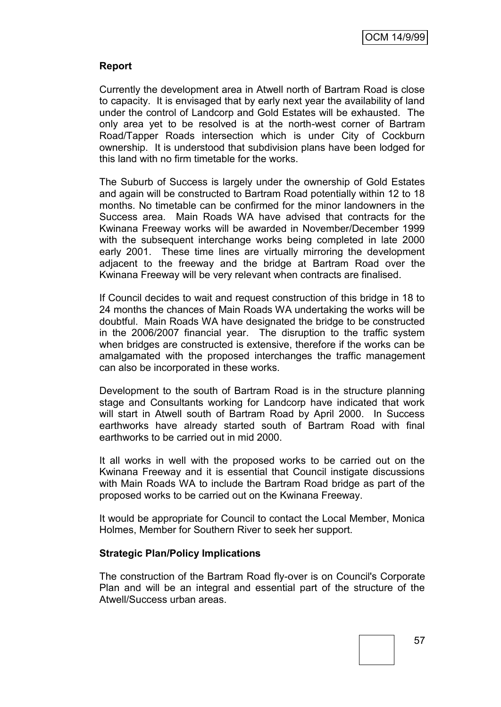## **Report**

Currently the development area in Atwell north of Bartram Road is close to capacity. It is envisaged that by early next year the availability of land under the control of Landcorp and Gold Estates will be exhausted. The only area yet to be resolved is at the north-west corner of Bartram Road/Tapper Roads intersection which is under City of Cockburn ownership. It is understood that subdivision plans have been lodged for this land with no firm timetable for the works.

The Suburb of Success is largely under the ownership of Gold Estates and again will be constructed to Bartram Road potentially within 12 to 18 months. No timetable can be confirmed for the minor landowners in the Success area. Main Roads WA have advised that contracts for the Kwinana Freeway works will be awarded in November/December 1999 with the subsequent interchange works being completed in late 2000 early 2001. These time lines are virtually mirroring the development adjacent to the freeway and the bridge at Bartram Road over the Kwinana Freeway will be very relevant when contracts are finalised.

If Council decides to wait and request construction of this bridge in 18 to 24 months the chances of Main Roads WA undertaking the works will be doubtful. Main Roads WA have designated the bridge to be constructed in the 2006/2007 financial year. The disruption to the traffic system when bridges are constructed is extensive, therefore if the works can be amalgamated with the proposed interchanges the traffic management can also be incorporated in these works.

Development to the south of Bartram Road is in the structure planning stage and Consultants working for Landcorp have indicated that work will start in Atwell south of Bartram Road by April 2000. In Success earthworks have already started south of Bartram Road with final earthworks to be carried out in mid 2000.

It all works in well with the proposed works to be carried out on the Kwinana Freeway and it is essential that Council instigate discussions with Main Roads WA to include the Bartram Road bridge as part of the proposed works to be carried out on the Kwinana Freeway.

It would be appropriate for Council to contact the Local Member, Monica Holmes, Member for Southern River to seek her support.

### **Strategic Plan/Policy Implications**

The construction of the Bartram Road fly-over is on Council's Corporate Plan and will be an integral and essential part of the structure of the Atwell/Success urban areas.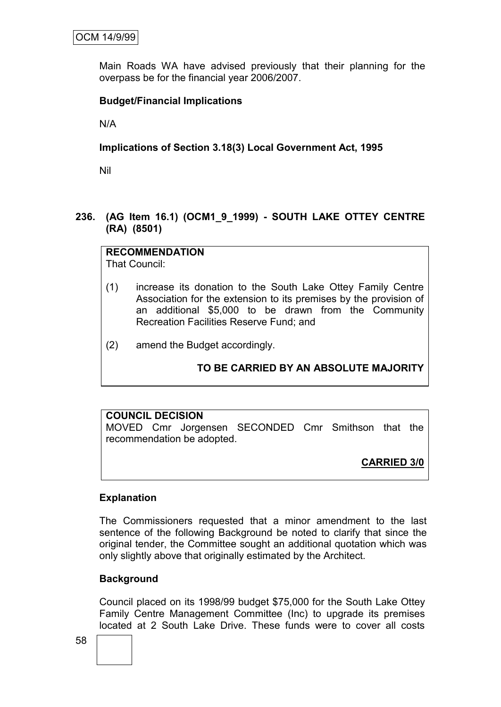Main Roads WA have advised previously that their planning for the overpass be for the financial year 2006/2007.

## **Budget/Financial Implications**

N/A

## **Implications of Section 3.18(3) Local Government Act, 1995**

Nil

## **236. (AG Item 16.1) (OCM1\_9\_1999) - SOUTH LAKE OTTEY CENTRE (RA) (8501)**

**RECOMMENDATION** That Council:

- (1) increase its donation to the South Lake Ottey Family Centre Association for the extension to its premises by the provision of an additional \$5,000 to be drawn from the Community Recreation Facilities Reserve Fund; and
- (2) amend the Budget accordingly.

# **TO BE CARRIED BY AN ABSOLUTE MAJORITY**

# **COUNCIL DECISION** MOVED Cmr Jorgensen SECONDED Cmr Smithson that the recommendation be adopted.

**CARRIED 3/0**

### **Explanation**

The Commissioners requested that a minor amendment to the last sentence of the following Background be noted to clarify that since the original tender, the Committee sought an additional quotation which was only slightly above that originally estimated by the Architect.

### **Background**

Council placed on its 1998/99 budget \$75,000 for the South Lake Ottey Family Centre Management Committee (Inc) to upgrade its premises located at 2 South Lake Drive. These funds were to cover all costs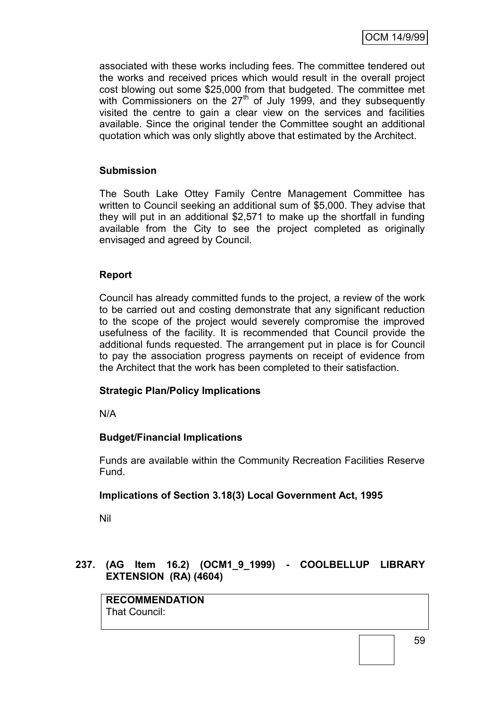associated with these works including fees. The committee tendered out the works and received prices which would result in the overall project cost blowing out some \$25,000 from that budgeted. The committee met with Commissioners on the 27<sup>th</sup> of July 1999, and they subsequently visited the centre to gain a clear view on the services and facilities available. Since the original tender the Committee sought an additional quotation which was only slightly above that estimated by the Architect.

## **Submission**

The South Lake Ottey Family Centre Management Committee has written to Council seeking an additional sum of \$5,000. They advise that they will put in an additional \$2,571 to make up the shortfall in funding available from the City to see the project completed as originally envisaged and agreed by Council.

## **Report**

Council has already committed funds to the project, a review of the work to be carried out and costing demonstrate that any significant reduction to the scope of the project would severely compromise the improved usefulness of the facility. It is recommended that Council provide the additional funds requested. The arrangement put in place is for Council to pay the association progress payments on receipt of evidence from the Architect that the work has been completed to their satisfaction.

### **Strategic Plan/Policy Implications**

N/A

### **Budget/Financial Implications**

Funds are available within the Community Recreation Facilities Reserve Fund.

### **Implications of Section 3.18(3) Local Government Act, 1995**

Nil

## **237. (AG Item 16.2) (OCM1\_9\_1999) - COOLBELLUP LIBRARY EXTENSION (RA) (4604)**

**RECOMMENDATION** That Council: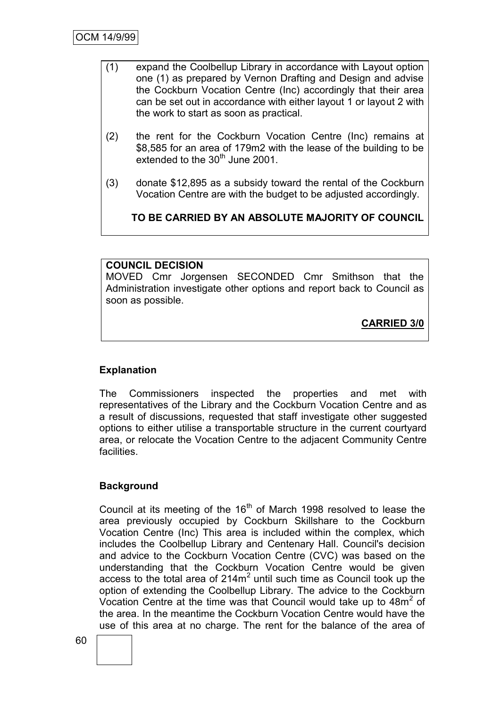- (1) expand the Coolbellup Library in accordance with Layout option one (1) as prepared by Vernon Drafting and Design and advise the Cockburn Vocation Centre (Inc) accordingly that their area can be set out in accordance with either layout 1 or layout 2 with the work to start as soon as practical.
- (2) the rent for the Cockburn Vocation Centre (Inc) remains at \$8,585 for an area of 179m2 with the lease of the building to be extended to the  $30<sup>th</sup>$  June 2001.
- (3) donate \$12,895 as a subsidy toward the rental of the Cockburn Vocation Centre are with the budget to be adjusted accordingly.

**TO BE CARRIED BY AN ABSOLUTE MAJORITY OF COUNCIL**

### **COUNCIL DECISION**

MOVED Cmr Jorgensen SECONDED Cmr Smithson that the Administration investigate other options and report back to Council as soon as possible.

**CARRIED 3/0**

# **Explanation**

The Commissioners inspected the properties and met with representatives of the Library and the Cockburn Vocation Centre and as a result of discussions, requested that staff investigate other suggested options to either utilise a transportable structure in the current courtyard area, or relocate the Vocation Centre to the adjacent Community Centre facilities.

# **Background**

Council at its meeting of the  $16<sup>th</sup>$  of March 1998 resolved to lease the area previously occupied by Cockburn Skillshare to the Cockburn Vocation Centre (Inc) This area is included within the complex, which includes the Coolbellup Library and Centenary Hall. Council's decision and advice to the Cockburn Vocation Centre (CVC) was based on the understanding that the Cockburn Vocation Centre would be given access to the total area of  $214m^2$  until such time as Council took up the option of extending the Coolbellup Library. The advice to the Cockburn Vocation Centre at the time was that Council would take up to  $48m^2$  of the area. In the meantime the Cockburn Vocation Centre would have the use of this area at no charge. The rent for the balance of the area of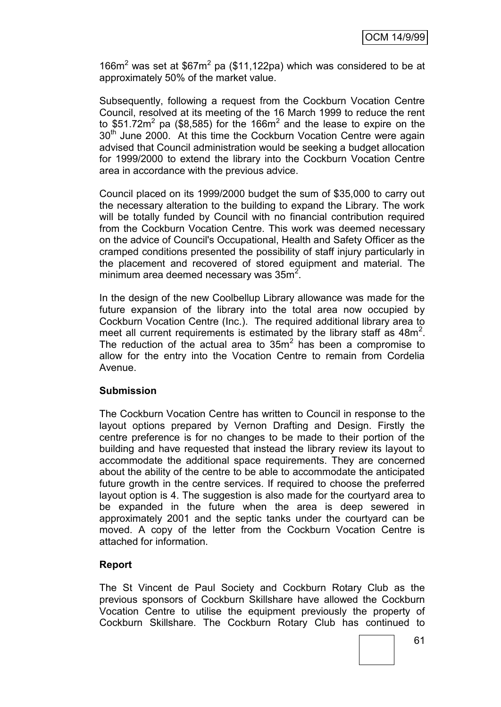166 $m<sup>2</sup>$  was set at \$67 $m<sup>2</sup>$  pa (\$11,122pa) which was considered to be at approximately 50% of the market value.

Subsequently, following a request from the Cockburn Vocation Centre Council, resolved at its meeting of the 16 March 1999 to reduce the rent to \$51.72m<sup>2</sup> pa (\$8,585) for the 166m<sup>2</sup> and the lease to expire on the 30<sup>th</sup> June 2000. At this time the Cockburn Vocation Centre were again advised that Council administration would be seeking a budget allocation for 1999/2000 to extend the library into the Cockburn Vocation Centre area in accordance with the previous advice.

Council placed on its 1999/2000 budget the sum of \$35,000 to carry out the necessary alteration to the building to expand the Library. The work will be totally funded by Council with no financial contribution required from the Cockburn Vocation Centre. This work was deemed necessary on the advice of Council's Occupational, Health and Safety Officer as the cramped conditions presented the possibility of staff injury particularly in the placement and recovered of stored equipment and material. The minimum area deemed necessary was  $35m^2$ .

In the design of the new Coolbellup Library allowance was made for the future expansion of the library into the total area now occupied by Cockburn Vocation Centre (Inc.). The required additional library area to meet all current requirements is estimated by the library staff as  $48m^2$ . The reduction of the actual area to  $35m<sup>2</sup>$  has been a compromise to allow for the entry into the Vocation Centre to remain from Cordelia Avenue.

### **Submission**

The Cockburn Vocation Centre has written to Council in response to the layout options prepared by Vernon Drafting and Design. Firstly the centre preference is for no changes to be made to their portion of the building and have requested that instead the library review its layout to accommodate the additional space requirements. They are concerned about the ability of the centre to be able to accommodate the anticipated future growth in the centre services. If required to choose the preferred layout option is 4. The suggestion is also made for the courtyard area to be expanded in the future when the area is deep sewered in approximately 2001 and the septic tanks under the courtyard can be moved. A copy of the letter from the Cockburn Vocation Centre is attached for information.

### **Report**

The St Vincent de Paul Society and Cockburn Rotary Club as the previous sponsors of Cockburn Skillshare have allowed the Cockburn Vocation Centre to utilise the equipment previously the property of Cockburn Skillshare. The Cockburn Rotary Club has continued to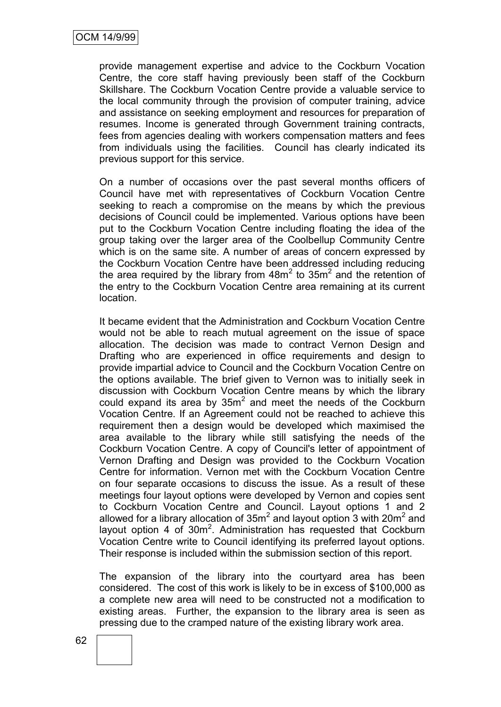provide management expertise and advice to the Cockburn Vocation Centre, the core staff having previously been staff of the Cockburn Skillshare. The Cockburn Vocation Centre provide a valuable service to the local community through the provision of computer training, advice and assistance on seeking employment and resources for preparation of resumes. Income is generated through Government training contracts, fees from agencies dealing with workers compensation matters and fees from individuals using the facilities. Council has clearly indicated its previous support for this service.

On a number of occasions over the past several months officers of Council have met with representatives of Cockburn Vocation Centre seeking to reach a compromise on the means by which the previous decisions of Council could be implemented. Various options have been put to the Cockburn Vocation Centre including floating the idea of the group taking over the larger area of the Coolbellup Community Centre which is on the same site. A number of areas of concern expressed by the Cockburn Vocation Centre have been addressed including reducing the area required by the library from  $48m^2$  to  $35m^2$  and the retention of the entry to the Cockburn Vocation Centre area remaining at its current location.

It became evident that the Administration and Cockburn Vocation Centre would not be able to reach mutual agreement on the issue of space allocation. The decision was made to contract Vernon Design and Drafting who are experienced in office requirements and design to provide impartial advice to Council and the Cockburn Vocation Centre on the options available. The brief given to Vernon was to initially seek in discussion with Cockburn Vocation Centre means by which the library could expand its area by  $35m^2$  and meet the needs of the Cockburn Vocation Centre. If an Agreement could not be reached to achieve this requirement then a design would be developed which maximised the area available to the library while still satisfying the needs of the Cockburn Vocation Centre. A copy of Council's letter of appointment of Vernon Drafting and Design was provided to the Cockburn Vocation Centre for information. Vernon met with the Cockburn Vocation Centre on four separate occasions to discuss the issue. As a result of these meetings four layout options were developed by Vernon and copies sent to Cockburn Vocation Centre and Council. Layout options 1 and 2 allowed for a library allocation of  $35m^2$  and layout option 3 with 20m<sup>2</sup> and layout option 4 of  $30m^2$ . Administration has requested that Cockburn Vocation Centre write to Council identifying its preferred layout options. Their response is included within the submission section of this report.

The expansion of the library into the courtyard area has been considered. The cost of this work is likely to be in excess of \$100,000 as a complete new area will need to be constructed not a modification to existing areas. Further, the expansion to the library area is seen as pressing due to the cramped nature of the existing library work area.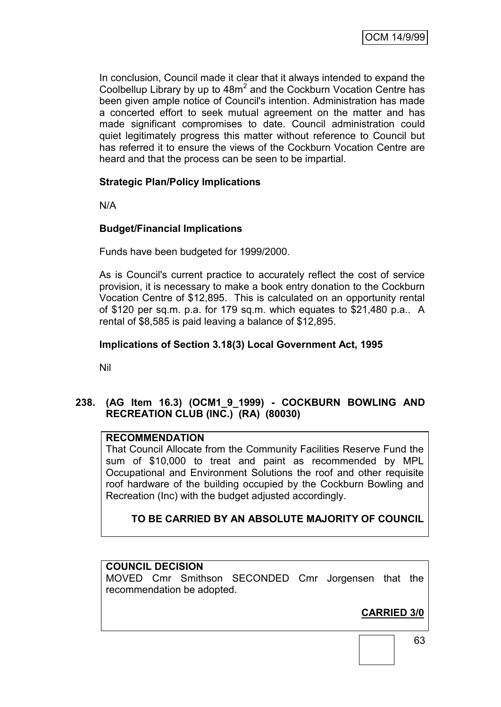In conclusion, Council made it clear that it always intended to expand the Coolbellup Library by up to  $48m^2$  and the Cockburn Vocation Centre has been given ample notice of Council's intention. Administration has made a concerted effort to seek mutual agreement on the matter and has made significant compromises to date. Council administration could quiet legitimately progress this matter without reference to Council but has referred it to ensure the views of the Cockburn Vocation Centre are heard and that the process can be seen to be impartial.

# **Strategic Plan/Policy Implications**

N/A

### **Budget/Financial Implications**

Funds have been budgeted for 1999/2000.

As is Council's current practice to accurately reflect the cost of service provision, it is necessary to make a book entry donation to the Cockburn Vocation Centre of \$12,895. This is calculated on an opportunity rental of \$120 per sq.m. p.a. for 179 sq.m. which equates to \$21,480 p.a.. A rental of \$8,585 is paid leaving a balance of \$12,895.

## **Implications of Section 3.18(3) Local Government Act, 1995**

Nil

## **238. (AG Item 16.3) (OCM1\_9\_1999) - COCKBURN BOWLING AND RECREATION CLUB (INC.) (RA) (80030)**

## **RECOMMENDATION**

That Council Allocate from the Community Facilities Reserve Fund the sum of \$10,000 to treat and paint as recommended by MPL Occupational and Environment Solutions the roof and other requisite roof hardware of the building occupied by the Cockburn Bowling and Recreation (Inc) with the budget adjusted accordingly.

# **TO BE CARRIED BY AN ABSOLUTE MAJORITY OF COUNCIL**

## **COUNCIL DECISION**

MOVED Cmr Smithson SECONDED Cmr Jorgensen that the recommendation be adopted.

# **CARRIED 3/0**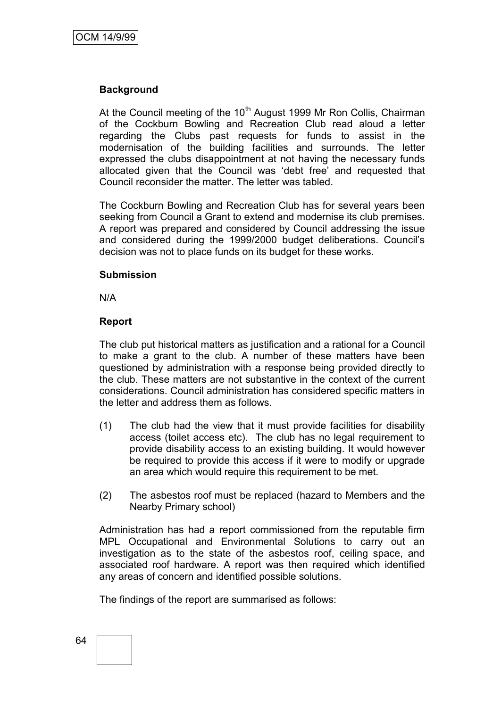## **Background**

At the Council meeting of the  $10<sup>th</sup>$  August 1999 Mr Ron Collis, Chairman of the Cockburn Bowling and Recreation Club read aloud a letter regarding the Clubs past requests for funds to assist in the modernisation of the building facilities and surrounds. The letter expressed the clubs disappointment at not having the necessary funds allocated given that the Council was "debt free" and requested that Council reconsider the matter. The letter was tabled.

The Cockburn Bowling and Recreation Club has for several years been seeking from Council a Grant to extend and modernise its club premises. A report was prepared and considered by Council addressing the issue and considered during the 1999/2000 budget deliberations. Council"s decision was not to place funds on its budget for these works.

#### **Submission**

N/A

#### **Report**

The club put historical matters as justification and a rational for a Council to make a grant to the club. A number of these matters have been questioned by administration with a response being provided directly to the club. These matters are not substantive in the context of the current considerations. Council administration has considered specific matters in the letter and address them as follows.

- (1) The club had the view that it must provide facilities for disability access (toilet access etc). The club has no legal requirement to provide disability access to an existing building. It would however be required to provide this access if it were to modify or upgrade an area which would require this requirement to be met.
- (2) The asbestos roof must be replaced (hazard to Members and the Nearby Primary school)

Administration has had a report commissioned from the reputable firm MPL Occupational and Environmental Solutions to carry out an investigation as to the state of the asbestos roof, ceiling space, and associated roof hardware. A report was then required which identified any areas of concern and identified possible solutions.

The findings of the report are summarised as follows: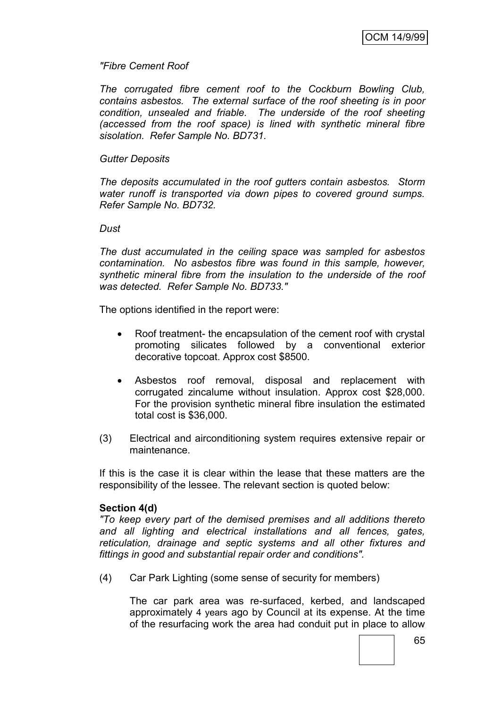### *"Fibre Cement Roof*

*The corrugated fibre cement roof to the Cockburn Bowling Club, contains asbestos. The external surface of the roof sheeting is in poor condition, unsealed and friable. The underside of the roof sheeting (accessed from the roof space) is lined with synthetic mineral fibre sisolation. Refer Sample No. BD731.*

### *Gutter Deposits*

*The deposits accumulated in the roof gutters contain asbestos. Storm water runoff is transported via down pipes to covered ground sumps. Refer Sample No. BD732.*

### *Dust*

*The dust accumulated in the ceiling space was sampled for asbestos contamination. No asbestos fibre was found in this sample, however, synthetic mineral fibre from the insulation to the underside of the roof was detected. Refer Sample No. BD733."*

The options identified in the report were:

- Roof treatment- the encapsulation of the cement roof with crystal promoting silicates followed by a conventional exterior decorative topcoat. Approx cost \$8500.
- Asbestos roof removal, disposal and replacement with corrugated zincalume without insulation. Approx cost \$28,000. For the provision synthetic mineral fibre insulation the estimated total cost is \$36,000.
- (3) Electrical and airconditioning system requires extensive repair or maintenance.

If this is the case it is clear within the lease that these matters are the responsibility of the lessee. The relevant section is quoted below:

### **Section 4(d)**

*"To keep every part of the demised premises and all additions thereto and all lighting and electrical installations and all fences, gates, reticulation, drainage and septic systems and all other fixtures and fittings in good and substantial repair order and conditions".*

(4) Car Park Lighting (some sense of security for members)

The car park area was re-surfaced, kerbed, and landscaped approximately 4 years ago by Council at its expense. At the time of the resurfacing work the area had conduit put in place to allow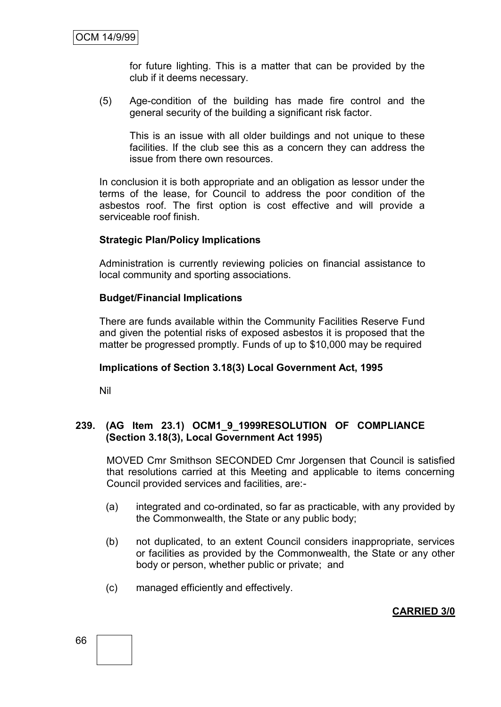for future lighting. This is a matter that can be provided by the club if it deems necessary.

(5) Age-condition of the building has made fire control and the general security of the building a significant risk factor.

This is an issue with all older buildings and not unique to these facilities. If the club see this as a concern they can address the issue from there own resources.

In conclusion it is both appropriate and an obligation as lessor under the terms of the lease, for Council to address the poor condition of the asbestos roof. The first option is cost effective and will provide a serviceable roof finish.

### **Strategic Plan/Policy Implications**

Administration is currently reviewing policies on financial assistance to local community and sporting associations.

#### **Budget/Financial Implications**

There are funds available within the Community Facilities Reserve Fund and given the potential risks of exposed asbestos it is proposed that the matter be progressed promptly. Funds of up to \$10,000 may be required

#### **Implications of Section 3.18(3) Local Government Act, 1995**

Nil

### **239. (AG Item 23.1) OCM1\_9\_1999RESOLUTION OF COMPLIANCE (Section 3.18(3), Local Government Act 1995)**

MOVED Cmr Smithson SECONDED Cmr Jorgensen that Council is satisfied that resolutions carried at this Meeting and applicable to items concerning Council provided services and facilities, are:-

- (a) integrated and co-ordinated, so far as practicable, with any provided by the Commonwealth, the State or any public body;
- (b) not duplicated, to an extent Council considers inappropriate, services or facilities as provided by the Commonwealth, the State or any other body or person, whether public or private; and
- (c) managed efficiently and effectively.

**CARRIED 3/0**